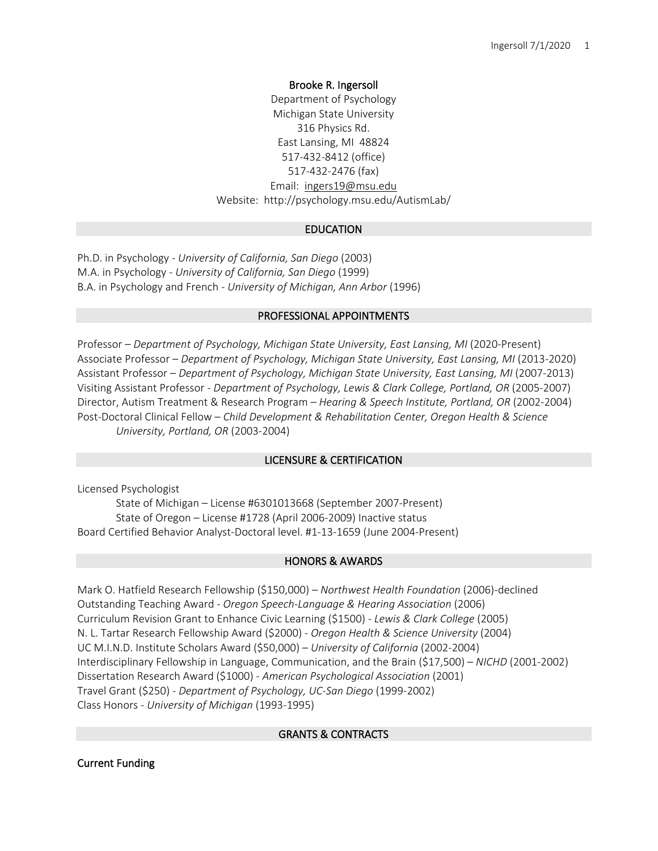# Brooke R. Ingersoll

Department of Psychology Michigan State University 316 Physics Rd. East Lansing, MI 48824 517-432-8412 (office) 517-432-2476 (fax) Email: [ingers19@msu.edu](mailto:ingers19@msu.edu) Website: http://psychology.msu.edu/AutismLab/

# EDUCATION

Ph.D. in Psychology - *University of California, San Diego* (2003) M.A. in Psychology - *University of California, San Diego* (1999) B.A. in Psychology and French - *University of Michigan, Ann Arbor* (1996)

# PROFESSIONAL APPOINTMENTS

Professor – *Department of Psychology, Michigan State University, East Lansing, MI* (2020-Present) Associate Professor – *Department of Psychology, Michigan State University, East Lansing, MI* (2013-2020) Assistant Professor – *Department of Psychology, Michigan State University, East Lansing, MI* (2007-2013) Visiting Assistant Professor - *Department of Psychology, Lewis & Clark College, Portland, OR* (2005-2007) Director, Autism Treatment & Research Program – *Hearing & Speech Institute, Portland, OR* (2002-2004) Post-Doctoral Clinical Fellow – *Child Development & Rehabilitation Center, Oregon Health & Science University, Portland, OR* (2003-2004)

# LICENSURE & CERTIFICATION

Licensed Psychologist

State of Michigan – License #6301013668 (September 2007-Present) State of Oregon – License #1728 (April 2006-2009) Inactive status Board Certified Behavior Analyst-Doctoral level. #1-13-1659 (June 2004-Present)

# HONORS & AWARDS

Mark O. Hatfield Research Fellowship (\$150,000) – *Northwest Health Foundation* (2006)-declined Outstanding Teaching Award - *Oregon Speech-Language & Hearing Association* (2006) Curriculum Revision Grant to Enhance Civic Learning (\$1500) - *Lewis & Clark College* (2005) N. L. Tartar Research Fellowship Award (\$2000) - *Oregon Health & Science University* (2004) UC M.I.N.D. Institute Scholars Award (\$50,000) – *University of California* (2002-2004) Interdisciplinary Fellowship in Language, Communication, and the Brain (\$17,500) – *NICHD* (2001-2002) Dissertation Research Award (\$1000) - *American Psychological Association* (2001) Travel Grant (\$250) - *Department of Psychology, UC-San Diego* (1999-2002) Class Honors - *University of Michigan* (1993-1995)

# GRANTS & CONTRACTS

Current Funding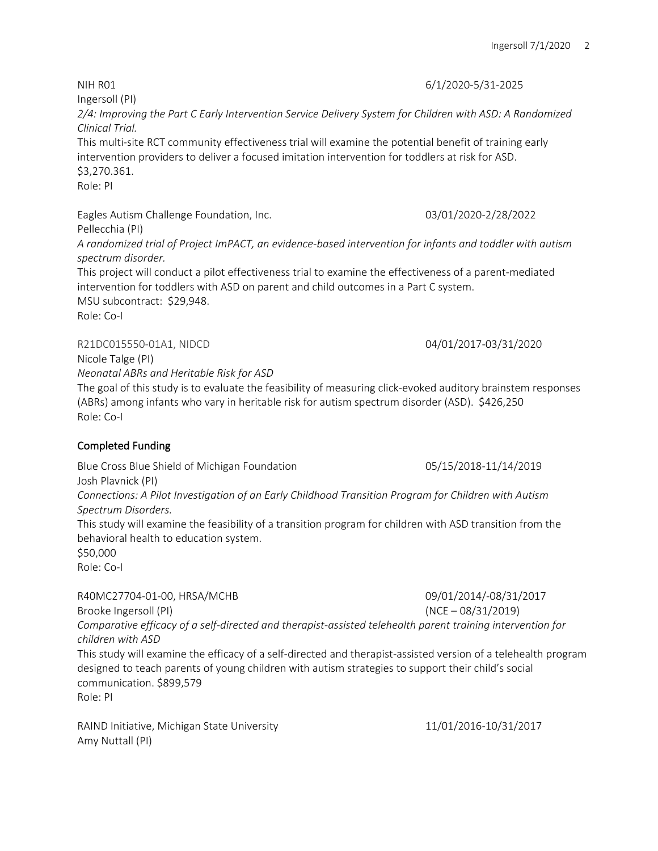NIH RO1 6/1/2020-5/31-2025

Ingersoll (PI)

*2/4: Improving the Part C Early Intervention Service Delivery System for Children with ASD: A Randomized Clinical Trial.* 

This multi-site RCT community effectiveness trial will examine the potential benefit of training early intervention providers to deliver a focused imitation intervention for toddlers at risk for ASD. \$3,270.361. Role: PI

Eagles Autism Challenge Foundation, Inc. 03/01/2020-2/28/2022

Pellecchia (PI)

*A randomized trial of Project ImPACT, an evidence-based intervention for infants and toddler with autism spectrum disorder.* 

This project will conduct a pilot effectiveness trial to examine the effectiveness of a parent-mediated intervention for toddlers with ASD on parent and child outcomes in a Part C system. MSU subcontract: \$29,948. Role: Co-I

R21DC015550-01A1, NIDCD 04/01/2017-03/31/2020

Nicole Talge (PI)

*Neonatal ABRs and Heritable Risk for ASD*

The goal of this study is to evaluate the feasibility of measuring click-evoked auditory brainstem responses (ABRs) among infants who vary in heritable risk for autism spectrum disorder (ASD). \$426,250 Role: Co-I

# Completed Funding

Blue Cross Blue Shield of Michigan Foundation 05/15/2018-11/14/2019

Josh Plavnick (PI)

*Connections: A Pilot Investigation of an Early Childhood Transition Program for Children with Autism Spectrum Disorders.*

This study will examine the feasibility of a transition program for children with ASD transition from the behavioral health to education system.

\$50,000 Role: Co-I

R40MC27704-01-00, HRSA/MCHB 09/01/2014/-08/31/2017 Brooke Ingersoll (PI)  $(NCE - 08/31/2019)$ *Comparative efficacy of a self-directed and therapist-assisted telehealth parent training intervention for children with ASD* This study will examine the efficacy of a self-directed and therapist-assisted version of a telehealth program designed to teach parents of young children with autism strategies to support their child's social communication. \$899,579 Role: PI

RAIND Initiative, Michigan State University 11/01/2016-10/31/2017 Amy Nuttall (PI)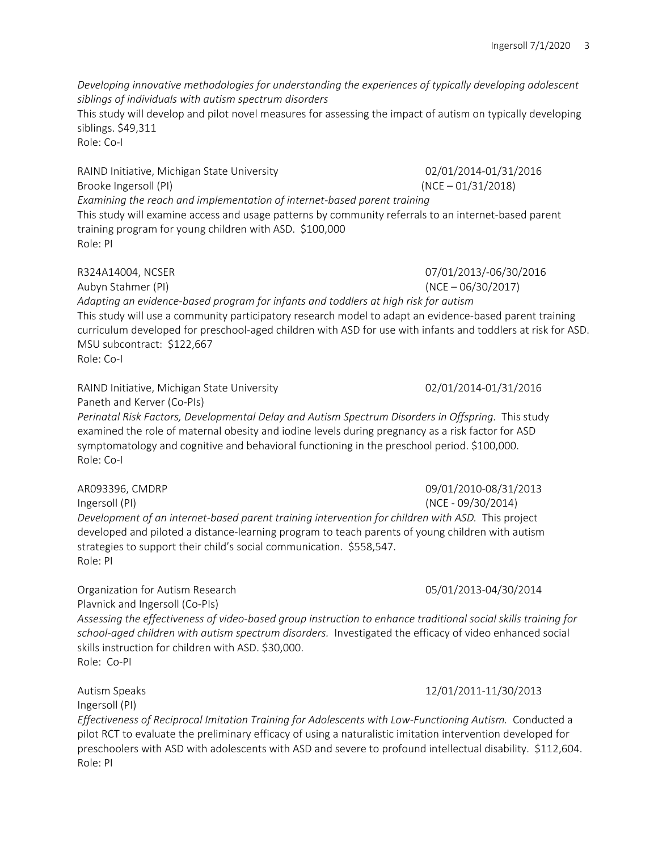*Developing innovative methodologies for understanding the experiences of typically developing adolescent siblings of individuals with autism spectrum disorders*

This study will develop and pilot novel measures for assessing the impact of autism on typically developing siblings. \$49,311

Role: Co-I

RAIND Initiative, Michigan State University 02/01/2014-01/31/2016 Brooke Ingersoll (PI)  $(NCE - 01/31/2018)$ *Examining the reach and implementation of internet-based parent training*  This study will examine access and usage patterns by community referrals to an internet-based parent training program for young children with ASD. \$100,000 Role: PI

R324A14004, NCSER 07/01/2013/-06/30/2016

Aubyn Stahmer (PI) (NCE – 06/30/2017) *Adapting an evidence-based program for infants and toddlers at high risk for autism* This study will use a community participatory research model to adapt an evidence-based parent training curriculum developed for preschool-aged children with ASD for use with infants and toddlers at risk for ASD. MSU subcontract: \$122,667 Role: Co-I

RAIND Initiative, Michigan State University 02/01/2014-01/31/2016

Paneth and Kerver (Co-PIs)

Perinatal Risk Factors, Developmental Delay and Autism Spectrum Disorders in Offspring. This study examined the role of maternal obesity and iodine levels during pregnancy as a risk factor for ASD symptomatology and cognitive and behavioral functioning in the preschool period. \$100,000. Role: Co-I

AR093396, CMDRP 09/01/2010-08/31/2013 Ingersoll (PI) (NCE - 09/30/2014) *Development of an internet-based parent training intervention for children with ASD.* This project developed and piloted a distance-learning program to teach parents of young children with autism strategies to support their child's social communication. \$558,547. Role: PI

Organization for Autism Research 05/01/2013-04/30/2014 Plavnick and Ingersoll (Co-PIs) *Assessing the effectiveness of video-based group instruction to enhance traditional social skills training for school-aged children with autism spectrum disorders.* Investigated the efficacy of video enhanced social skills instruction for children with ASD. \$30,000. Role: Co-PI

Ingersoll (PI)

*Effectiveness of Reciprocal Imitation Training for Adolescents with Low-Functioning Autism.* Conducted a pilot RCT to evaluate the preliminary efficacy of using a naturalistic imitation intervention developed for preschoolers with ASD with adolescents with ASD and severe to profound intellectual disability. \$112,604. Role: PI

# Autism Speaks 12/01/2011-11/30/2013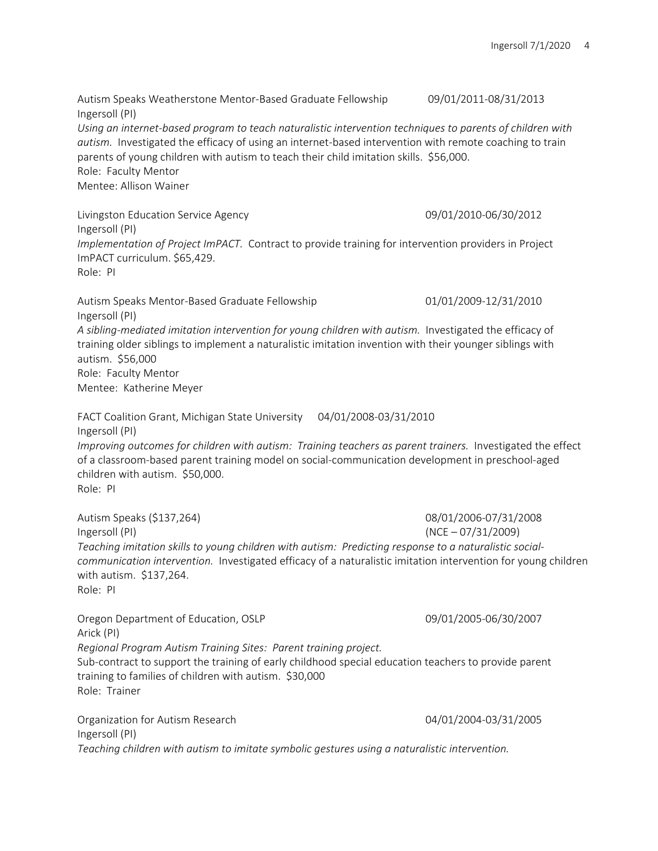Autism Speaks Weatherstone Mentor-Based Graduate Fellowship 09/01/2011-08/31/2013 Ingersoll (PI) *Using an internet-based program to teach naturalistic intervention techniques to parents of children with autism.* Investigated the efficacy of using an internet-based intervention with remote coaching to train parents of young children with autism to teach their child imitation skills. \$56,000. Role: Faculty Mentor Mentee: Allison Wainer Livingston Education Service Agency 09/01/2010-06/30/2012 Ingersoll (PI) *Implementation of Project ImPACT.* Contract to provide training for intervention providers in Project ImPACT curriculum. \$65,429. Role: PI Autism Speaks Mentor-Based Graduate Fellowship 01/01/2009-12/31/2010 Ingersoll (PI) A sibling-mediated imitation intervention for young children with autism. Investigated the efficacy of training older siblings to implement a naturalistic imitation invention with their younger siblings with autism. \$56,000 Role: Faculty Mentor Mentee: Katherine Meyer FACT Coalition Grant, Michigan State University 04/01/2008-03/31/2010 Ingersoll (PI) *Improving outcomes for children with autism: Training teachers as parent trainers. Investigated the effect* of a classroom-based parent training model on social-communication development in preschool-aged children with autism. \$50,000. Role: PI Autism Speaks (\$137,264) 08/01/2006-07/31/2008 Ingersoll (PI) (NCE – 07/31/2009) *Teaching imitation skills to young children with autism: Predicting response to a naturalistic socialcommunication intervention.* Investigated efficacy of a naturalistic imitation intervention for young children with autism. \$137,264. Role: PI Oregon Department of Education, OSLP 09/01/2005-06/30/2007 Arick (PI) *Regional Program Autism Training Sites: Parent training project.*  Sub-contract to support the training of early childhood special education teachers to provide parent training to families of children with autism. \$30,000 Role: Trainer Organization for Autism Research 04/01/2004-03/31/2005 Ingersoll (PI) *Teaching children with autism to imitate symbolic gestures using a naturalistic intervention.*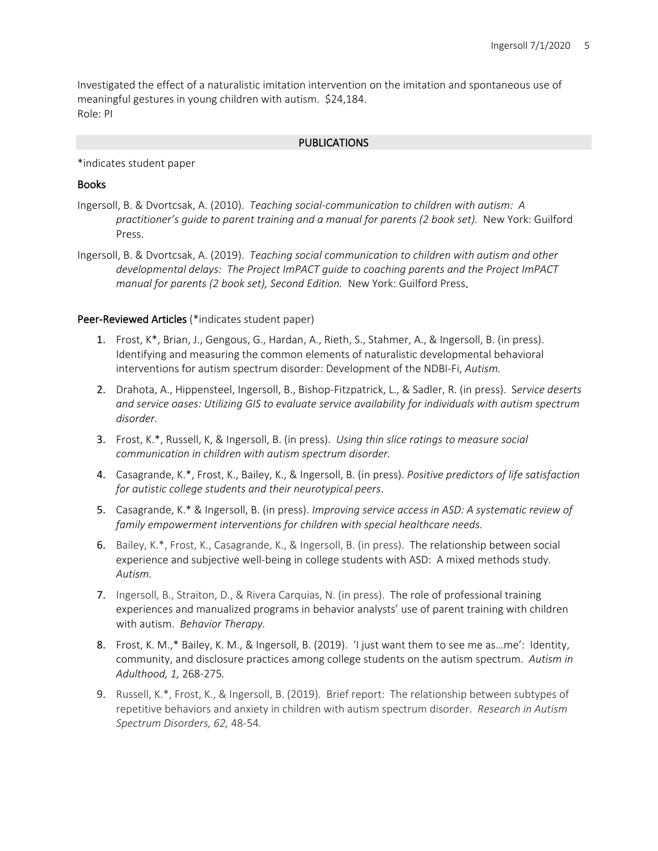Investigated the effect of a naturalistic imitation intervention on the imitation and spontaneous use of meaningful gestures in young children with autism. \$24,184. Role: PI

# PUBLICATIONS

\*indicates student paper

# Books

- Ingersoll, B. & Dvortcsak, A. (2010). *Teaching social-communication to children with autism: A practitioner's quide to parent training and a manual for parents (2 book set).* New York: Guilford Press.
- Ingersoll, B. & Dvortcsak, A. (2019). *Teaching social communication to children with autism and other developmental delays: The Project ImPACT guide to coaching parents and the Project ImPACT manual for parents (2 book set), Second Edition.* New York: Guilford Press.

# Peer-Reviewed Articles (\*indicates student paper)

- 1. Frost, K\*, Brian, J., Gengous, G., Hardan, A., Rieth, S., Stahmer, A., & Ingersoll, B. (in press). Identifying and measuring the common elements of naturalistic developmental behavioral interventions for autism spectrum disorder: Development of the NDBI-Fi, *Autism.*
- 2. Drahota, A., Hippensteel, Ingersoll, B., Bishop-Fitzpatrick, L., & Sadler, R. (in press). S*ervice deserts and service oases: Utilizing GIS to evaluate service availability for individuals with autism spectrum disorder.*
- 3. Frost, K.\*, Russell, K, & Ingersoll, B. (in press). *Using thin slice ratings to measure social communication in children with autism spectrum disorder.*
- 4. Casagrande, K.\*, Frost, K., Bailey, K., & Ingersoll, B. (in press). *Positive predictors of life satisfaction for autistic college students and their neurotypical peers*.
- 5. Casagrande, K.\* & Ingersoll, B. (in press). *Improving service access in ASD: A systematic review of family empowerment interventions for children with special healthcare needs.*
- 6. Bailey, K.\*, Frost, K., Casagrande, K., & Ingersoll, B. (in press). The relationship between social experience and subjective well-being in college students with ASD: A mixed methods study. *Autism.*
- 7. Ingersoll, B., Straiton, D., & Rivera Carquias, N. (in press). The role of professional training experiences and manualized programs in behavior analysts' use of parent training with children with autism. *Behavior Therapy.*
- 8. Frost, K. M.,\* Bailey, K. M., & Ingersoll, B. (2019). 'I just want them to see me as…me': Identity, community, and disclosure practices among college students on the autism spectrum. *Autism in Adulthood, 1,* 268-275*.*
- 9. Russell, K.\*, Frost, K., & Ingersoll, B. (2019). Brief report: The relationship between subtypes of repetitive behaviors and anxiety in children with autism spectrum disorder. *Research in Autism Spectrum Disorders, 62,* 48-54*.*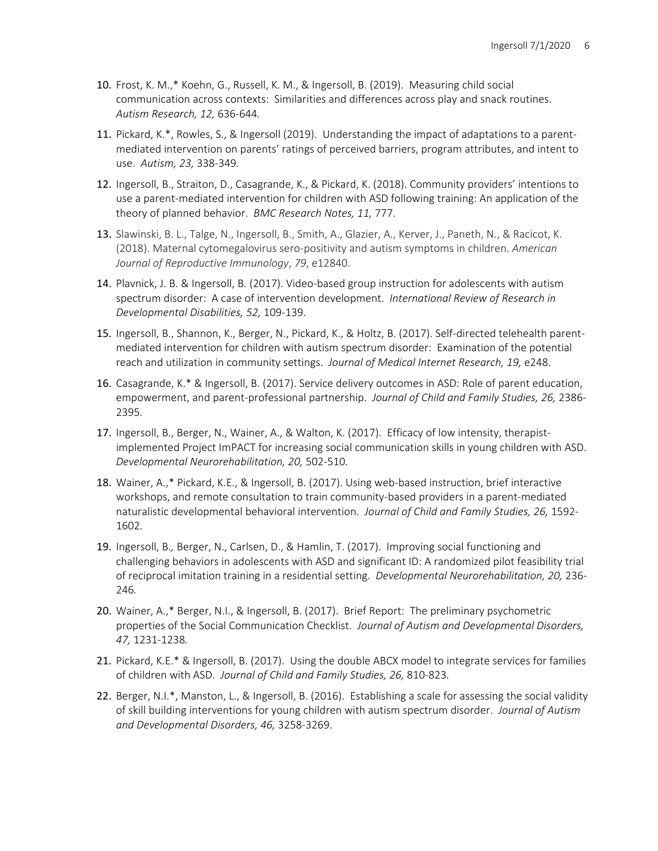- 10. Frost, K. M.,\* Koehn, G., Russell, K. M., & Ingersoll, B. (2019). Measuring child social communication across contexts: Similarities and differences across play and snack routines. *Autism Research, 12,* 636-644*.*
- 11. Pickard, K.\*, Rowles, S., & Ingersoll (2019). Understanding the impact of adaptations to a parentmediated intervention on parents' ratings of perceived barriers, program attributes, and intent to use. *Autism, 23,* 338-349*.*
- 12. Ingersoll, B., Straiton, D., Casagrande, K., & Pickard, K. (2018). Community providers' intentions to use a parent-mediated intervention for children with ASD following training: An application of the theory of planned behavior. *BMC Research Notes, 11,* 777.
- 13. Slawinski, B. L., Talge, N., Ingersoll, B., Smith, A., Glazier, A., Kerver, J., Paneth, N., & Racicot, K. (2018). Maternal cytomegalovirus sero-positivity and autism symptoms in children. *American Journal of Reproductive Immunology*, *79*, e12840.
- 14. Plavnick, J. B. & Ingersoll, B. (2017). Video-based group instruction for adolescents with autism spectrum disorder: A case of intervention development. *International Review of Research in Developmental Disabilities, 52,* 109-139.
- 15. Ingersoll, B., Shannon, K., Berger, N., Pickard, K., & Holtz, B. (2017). Self-directed telehealth parentmediated intervention for children with autism spectrum disorder: Examination of the potential reach and utilization in community settings. *Journal of Medical Internet Research, 19,* e248.
- 16. Casagrande, K.\* & Ingersoll, B. (2017). Service delivery outcomes in ASD: Role of parent education, empowerment, and parent-professional partnership. *Journal of Child and Family Studies, 26,* 2386- 2395*.*
- 17. Ingersoll, B., Berger, N., Wainer, A., & Walton, K. (2017). Efficacy of low intensity, therapistimplemented Project ImPACT for increasing social communication skills in young children with ASD. *Developmental Neurorehabilitation, 20,* 502-510*.*
- 18. Wainer, A.,\* Pickard, K.E., & Ingersoll, B. (2017). Using web-based instruction, brief interactive workshops, and remote consultation to train community-based providers in a parent-mediated naturalistic developmental behavioral intervention. *Journal of Child and Family Studies, 26,* 1592- 1602*.*
- 19. Ingersoll, B.*,* Berger, N., Carlsen, D., & Hamlin, T. (2017). Improving social functioning and challenging behaviors in adolescents with ASD and significant ID: A randomized pilot feasibility trial of reciprocal imitation training in a residential setting. *Developmental Neurorehabilitation, 20,* 236- 246*.*
- 20. Wainer, A.,\* Berger, N.I., & Ingersoll, B. (2017). Brief Report: The preliminary psychometric properties of the Social Communication Checklist. *Journal of Autism and Developmental Disorders, 47,* 1231-1238*.*
- 21. Pickard, K.E.\* & Ingersoll, B. (2017). Using the double ABCX model to integrate services for families of children with ASD. *Journal of Child and Family Studies, 26,* 810-823*.*
- 22. Berger, N.I.\*, Manston, L., & Ingersoll, B. (2016). Establishing a scale for assessing the social validity of skill building interventions for young children with autism spectrum disorder. *Journal of Autism and Developmental Disorders, 46,* 3258-3269.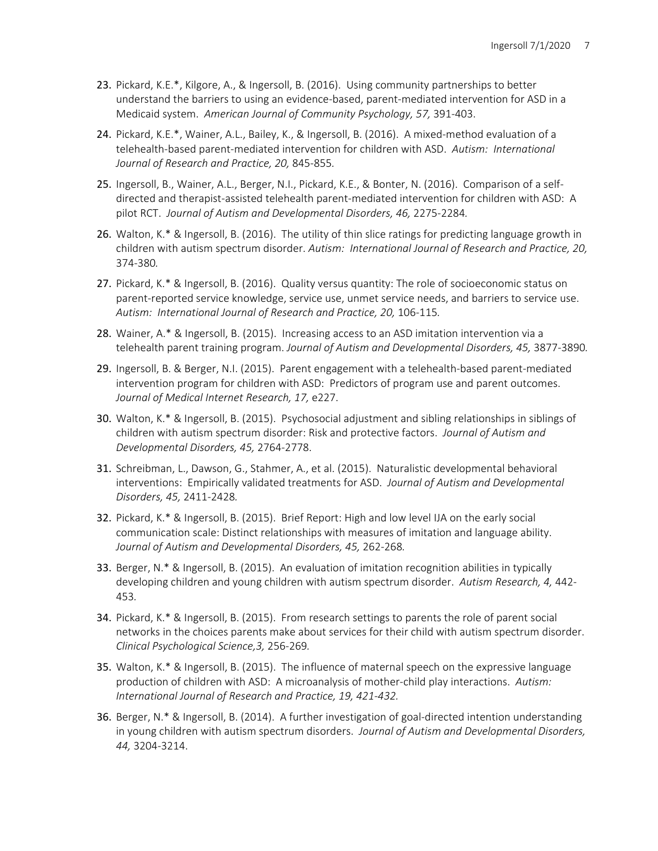- 23. Pickard, K.E.\*, Kilgore, A., & Ingersoll, B. (2016). Using community partnerships to better understand the barriers to using an evidence-based, parent-mediated intervention for ASD in a Medicaid system. *American Journal of Community Psychology, 57,* 391-403.
- 24. Pickard, K.E.\*, Wainer, A.L., Bailey, K., & Ingersoll, B. (2016). A mixed-method evaluation of a telehealth-based parent-mediated intervention for children with ASD. *Autism: International Journal of Research and Practice, 20,* 845-855*.*
- 25. Ingersoll, B., Wainer, A.L., Berger, N.I., Pickard, K.E., & Bonter, N. (2016). Comparison of a selfdirected and therapist-assisted telehealth parent-mediated intervention for children with ASD: A pilot RCT. *Journal of Autism and Developmental Disorders, 46,* 2275-2284*.*
- 26. Walton, K.\* & Ingersoll, B. (2016). The utility of thin slice ratings for predicting language growth in children with autism spectrum disorder. *Autism: International Journal of Research and Practice, 20,*  374-380*.*
- 27. Pickard, K.\* & Ingersoll, B. (2016). Quality versus quantity: The role of socioeconomic status on parent-reported service knowledge, service use, unmet service needs, and barriers to service use. Autism: International Journal of Research and Practice, 20, 106-115.
- 28. Wainer, A.\* & Ingersoll, B. (2015). Increasing access to an ASD imitation intervention via a telehealth parent training program. *Journal of Autism and Developmental Disorders, 45,* 3877-3890*.*
- 29. Ingersoll, B. & Berger, N.I. (2015). Parent engagement with a telehealth-based parent-mediated intervention program for children with ASD: Predictors of program use and parent outcomes. *Journal of Medical Internet Research, 17,* e227.
- 30. Walton, K.\* & Ingersoll, B. (2015). Psychosocial adjustment and sibling relationships in siblings of children with autism spectrum disorder: Risk and protective factors. *Journal of Autism and Developmental Disorders, 45,* 2764-2778.
- 31. Schreibman, L., Dawson, G., Stahmer, A., et al. (2015). Naturalistic developmental behavioral interventions: Empirically validated treatments for ASD. *Journal of Autism and Developmental Disorders, 45,* 2411-2428*.*
- 32. Pickard, K.\* & Ingersoll, B. (2015). Brief Report: High and low level IJA on the early social communication scale: Distinct relationships with measures of imitation and language ability. *Journal of Autism and Developmental Disorders, 45,* 262-268*.*
- 33. Berger, N.\* & Ingersoll, B. (2015). An evaluation of imitation recognition abilities in typically developing children and young children with autism spectrum disorder. *Autism Research, 4,* 442- 453*.*
- 34. Pickard, K.\* & Ingersoll, B. (2015). From research settings to parents the role of parent social networks in the choices parents make about services for their child with autism spectrum disorder. *Clinical Psychological Science,3,* 256-269*.*
- 35. Walton, K.\* & Ingersoll, B. (2015). The influence of maternal speech on the expressive language production of children with ASD: A microanalysis of mother-child play interactions. *Autism: International Journal of Research and Practice, 19, 421-432.*
- 36. Berger, N.\* & Ingersoll, B. (2014). A further investigation of goal-directed intention understanding in young children with autism spectrum disorders. *Journal of Autism and Developmental Disorders, 44,* 3204-3214.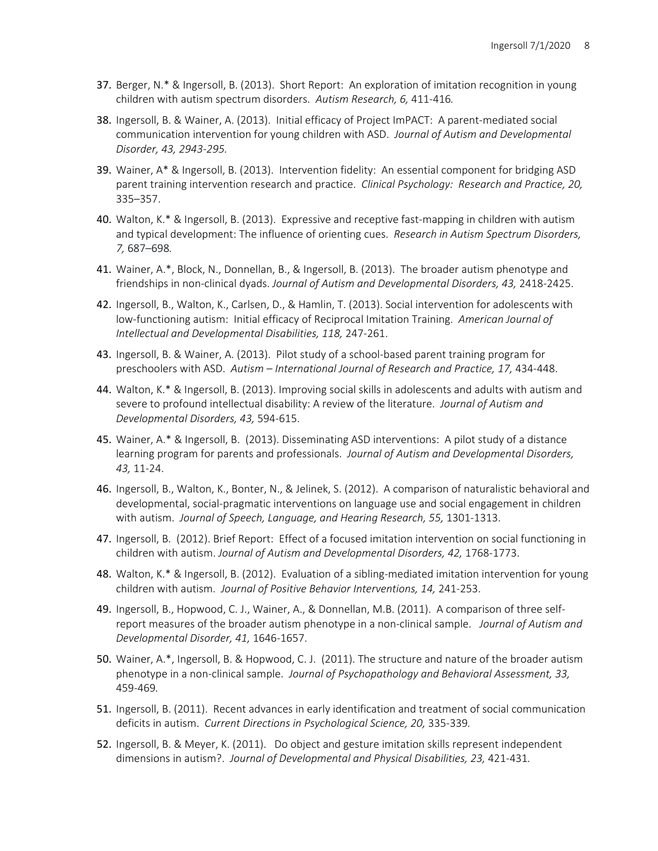- 37. Berger, N.\* & Ingersoll, B. (2013). Short Report: An exploration of imitation recognition in young children with autism spectrum disorders. *Autism Research, 6,* 411-416*.*
- 38. Ingersoll, B. & Wainer, A. (2013). Initial efficacy of Project ImPACT: A parent-mediated social communication intervention for young children with ASD. *Journal of Autism and Developmental Disorder, 43, 2943-295.*
- 39. Wainer, A\* & Ingersoll, B. (2013). Intervention fidelity: An essential component for bridging ASD parent training intervention research and practice. *Clinical Psychology: Research and Practice, 20,*  335–357.
- 40. Walton, K.\* & Ingersoll, B. (2013). Expressive and receptive fast-mapping in children with autism and typical development: The influence of orienting cues. *Research in Autism Spectrum Disorders, 7,* 687–698*.*
- 41. Wainer, A.\*, Block, N., Donnellan, B., & Ingersoll, B. (2013). The broader autism phenotype and friendships in non-clinical dyads. *Journal of Autism and Developmental Disorders, 43,* 2418-2425.
- 42. Ingersoll, B., Walton, K., Carlsen, D., & Hamlin, T. (2013). Social intervention for adolescents with low-functioning autism: Initial efficacy of Reciprocal Imitation Training. *American Journal of Intellectual and Developmental Disabilities, 118,* 247-261.
- 43. Ingersoll, B. & Wainer, A. (2013). Pilot study of a school-based parent training program for preschoolers with ASD. *Autism – International Journal of Research and Practice, 17,* 434-448.
- 44. Walton, K.\* & Ingersoll, B. (2013). Improving social skills in adolescents and adults with autism and severe to profound intellectual disability: A review of the literature. *Journal of Autism and Developmental Disorders, 43,* 594-615.
- 45. Wainer, A.\* & Ingersoll, B. (2013). Disseminating ASD interventions: A pilot study of a distance learning program for parents and professionals. *Journal of Autism and Developmental Disorders, 43,* 11-24.
- 46. Ingersoll, B., Walton, K., Bonter, N., & Jelinek, S. (2012). A comparison of naturalistic behavioral and developmental, social-pragmatic interventions on language use and social engagement in children with autism. *Journal of Speech, Language, and Hearing Research, 55,* 1301-1313.
- 47. Ingersoll, B. (2012). Brief Report: Effect of a focused imitation intervention on social functioning in children with autism. *Journal of Autism and Developmental Disorders, 42*, 1768-1773.
- 48. Walton, K.\* & Ingersoll, B. (2012). Evaluation of a sibling-mediated imitation intervention for young children with autism. *Journal of Positive Behavior Interventions, 14,* 241-253.
- 49. Ingersoll, B., Hopwood, C. J., Wainer, A., & Donnellan, M.B. (2011). A comparison of three selfreport measures of the broader autism phenotype in a non-clinical sample. *Journal of Autism and Developmental Disorder, 41,* 1646-1657.
- 50. Wainer, A.\*, Ingersoll, B. & Hopwood, C. J. (2011). The structure and nature of the broader autism phenotype in a non-clinical sample. *Journal of Psychopathology and Behavioral Assessment, 33,*  459-469*.*
- 51. Ingersoll, B. (2011). Recent advances in early identification and treatment of social communication deficits in autism. *Current Directions in Psychological Science, 20,* 335-339*.*
- 52. Ingersoll, B. & Meyer, K. (2011). Do object and gesture imitation skills represent independent dimensions in autism?. *Journal of Developmental and Physical Disabilities, 23,* 421-431*.*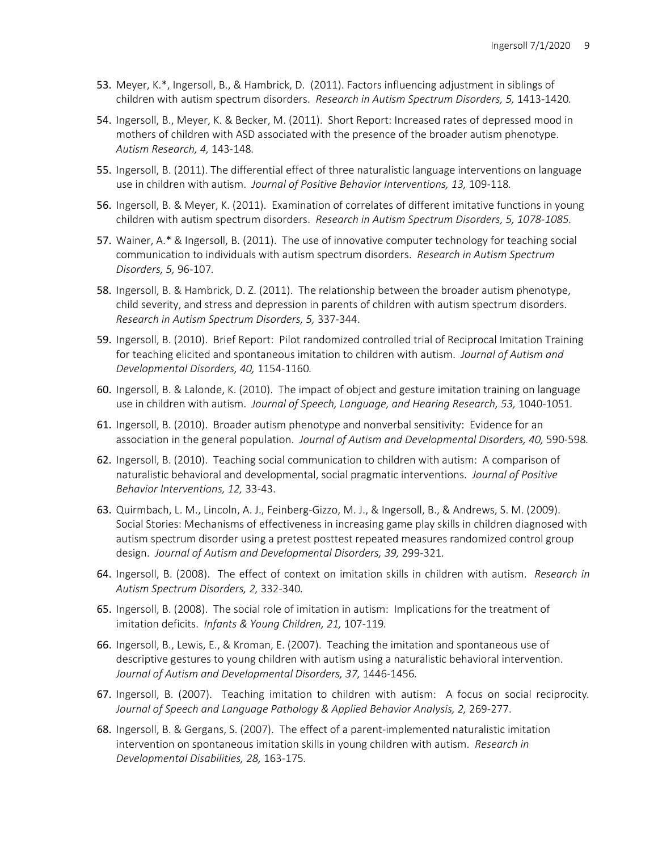- 53. Meyer, K.\*, Ingersoll, B., & Hambrick, D. (2011). Factors influencing adjustment in siblings of children with autism spectrum disorders. *Research in Autism Spectrum Disorders, 5,* 1413-1420*.*
- 54. Ingersoll, B., Meyer, K. & Becker, M. (2011). Short Report: Increased rates of depressed mood in mothers of children with ASD associated with the presence of the broader autism phenotype. *Autism Research, 4,* 143-148*.*
- 55. Ingersoll, B. (2011). The differential effect of three naturalistic language interventions on language use in children with autism. *Journal of Positive Behavior Interventions, 13,* 109-118*.*
- 56. Ingersoll, B. & Meyer, K. (2011). Examination of correlates of different imitative functions in young children with autism spectrum disorders. *Research in Autism Spectrum Disorders, 5, 1078-1085.*
- 57. Wainer, A.\* & Ingersoll, B. (2011). The use of innovative computer technology for teaching social communication to individuals with autism spectrum disorders. *Research in Autism Spectrum Disorders, 5,* 96-107*.*
- 58. Ingersoll, B. & Hambrick, D. Z. (2011). The relationship between the broader autism phenotype, child severity, and stress and depression in parents of children with autism spectrum disorders. *Research in Autism Spectrum Disorders, 5,* 337-344.
- 59. Ingersoll, B. (2010). Brief Report: Pilot randomized controlled trial of Reciprocal Imitation Training for teaching elicited and spontaneous imitation to children with autism. *Journal of Autism and Developmental Disorders, 40,* 1154-1160*.*
- 60. Ingersoll, B. & Lalonde, K. (2010). The impact of object and gesture imitation training on language use in children with autism. *Journal of Speech, Language, and Hearing Research, 53,* 1040-1051*.*
- 61. Ingersoll, B. (2010). Broader autism phenotype and nonverbal sensitivity: Evidence for an association in the general population. *Journal of Autism and Developmental Disorders, 40,* 590-598*.*
- 62. Ingersoll, B. (2010). Teaching social communication to children with autism: A comparison of naturalistic behavioral and developmental, social pragmatic interventions. *Journal of Positive Behavior Interventions, 12,* 33-43.
- 63. Quirmbach, L. M., Lincoln, A. J., Feinberg-Gizzo, M. J., & Ingersoll, B., & Andrews, S. M. (2009). Social Stories: Mechanisms of effectiveness in increasing game play skills in children diagnosed with autism spectrum disorder using a pretest posttest repeated measures randomized control group design. *Journal of Autism and Developmental Disorders, 39,* 299-321*.*
- 64. Ingersoll, B. (2008). The effect of context on imitation skills in children with autism. *Research in Autism Spectrum Disorders, 2,* 332-340*.*
- 65. Ingersoll, B. (2008). The social role of imitation in autism: Implications for the treatment of imitation deficits. *Infants & Young Children, 21,* 107-119*.*
- 66. Ingersoll, B., Lewis, E., & Kroman, E. (2007). Teaching the imitation and spontaneous use of descriptive gestures to young children with autism using a naturalistic behavioral intervention. *Journal of Autism and Developmental Disorders, 37,* 1446-1456*.*
- 67. Ingersoll, B. (2007). Teaching imitation to children with autism: A focus on social reciprocity*.* Journal of Speech and Language Pathology & Applied Behavior Analysis, 2, 269-277.
- 68. Ingersoll, B. & Gergans, S. (2007). The effect of a parent-implemented naturalistic imitation intervention on spontaneous imitation skills in young children with autism. *Research in Developmental Disabilities, 28,* 163-175*.*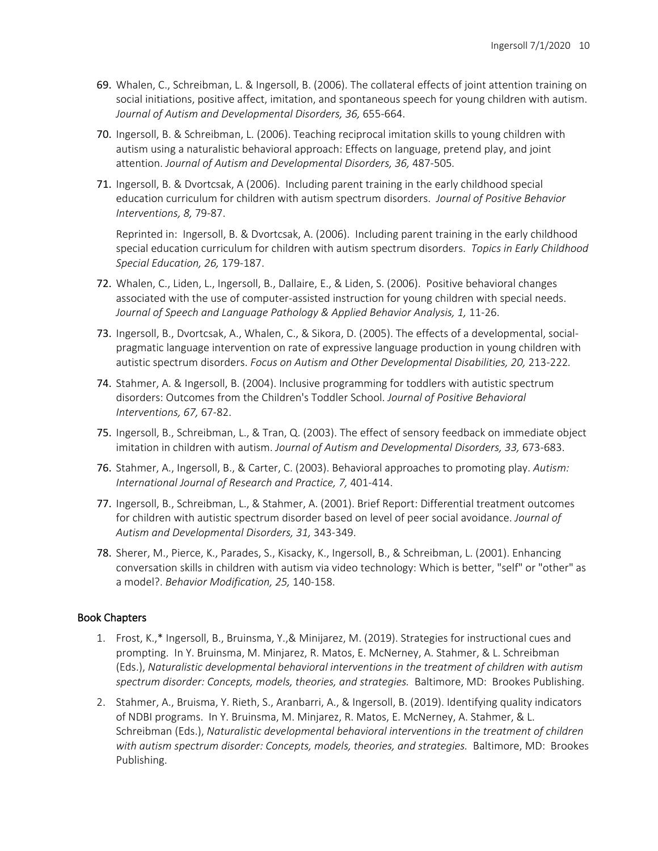- 69. Whalen, C., Schreibman, L. & Ingersoll, B. (2006). The collateral effects of joint attention training on social initiations, positive affect, imitation, and spontaneous speech for young children with autism. *Journal of Autism and Developmental Disorders, 36,* 655-664.
- 70. Ingersoll, B. & Schreibman, L. (2006). Teaching reciprocal imitation skills to young children with autism using a naturalistic behavioral approach: Effects on language, pretend play, and joint attention. *Journal of Autism and Developmental Disorders, 36,* 487-505*.*
- 71. Ingersoll, B. & Dvortcsak, A (2006). Including parent training in the early childhood special education curriculum for children with autism spectrum disorders. *Journal of Positive Behavior Interventions, 8,* 79-87.

Reprinted in: Ingersoll, B. & Dvortcsak, A. (2006). Including parent training in the early childhood special education curriculum for children with autism spectrum disorders. *Topics in Early Childhood Special Education, 26,* 179-187.

- 72. Whalen, C., Liden, L., Ingersoll, B., Dallaire, E., & Liden, S. (2006). Positive behavioral changes associated with the use of computer-assisted instruction for young children with special needs. *Journal of Speech and Language Pathology & Applied Behavior Analysis, 1,* 11-26.
- 73. Ingersoll, B., Dvortcsak, A., Whalen, C., & Sikora, D. (2005). The effects of a developmental, socialpragmatic language intervention on rate of expressive language production in young children with autistic spectrum disorders. *Focus on Autism and Other Developmental Disabilities, 20,* 213-222*.*
- 74. Stahmer, A. & Ingersoll, B. (2004). Inclusive programming for toddlers with autistic spectrum disorders: Outcomes from the Children's Toddler School. *Journal of Positive Behavioral Interventions, 67,* 67-82.
- 75. Ingersoll, B., Schreibman, L., & Tran, Q. (2003). The effect of sensory feedback on immediate object imitation in children with autism. *Journal of Autism and Developmental Disorders, 33,* 673-683.
- 76. Stahmer, A., Ingersoll, B., & Carter, C. (2003). Behavioral approaches to promoting play. *Autism: International Journal of Research and Practice, 7,* 401-414.
- 77. Ingersoll, B., Schreibman, L., & Stahmer, A. (2001). Brief Report: Differential treatment outcomes for children with autistic spectrum disorder based on level of peer social avoidance. *Journal of Autism and Developmental Disorders, 31,* 343-349.
- 78. Sherer, M., Pierce, K., Parades, S., Kisacky, K., Ingersoll, B., & Schreibman, L. (2001). Enhancing conversation skills in children with autism via video technology: Which is better, "self" or "other" as a model?. *Behavior Modification, 25,* 140-158.

# Book Chapters

- 1. Frost, K.,\* Ingersoll, B., Bruinsma, Y.,& Minijarez, M. (2019). Strategies for instructional cues and prompting. In Y. Bruinsma, M. Minjarez, R. Matos, E. McNerney, A. Stahmer, & L. Schreibman (Eds.), *Naturalistic developmental behavioral interventions in the treatment of children with autism spectrum disorder: Concepts, models, theories, and strategies.* Baltimore, MD: Brookes Publishing.
- 2. Stahmer, A., Bruisma, Y. Rieth, S., Aranbarri, A., & Ingersoll, B. (2019). Identifying quality indicators of NDBI programs. In Y. Bruinsma, M. Minjarez, R. Matos, E. McNerney, A. Stahmer, & L. Schreibman (Eds.), *Naturalistic developmental behavioral interventions in the treatment of children with autism spectrum disorder: Concepts, models, theories, and strategies.* Baltimore, MD: Brookes Publishing.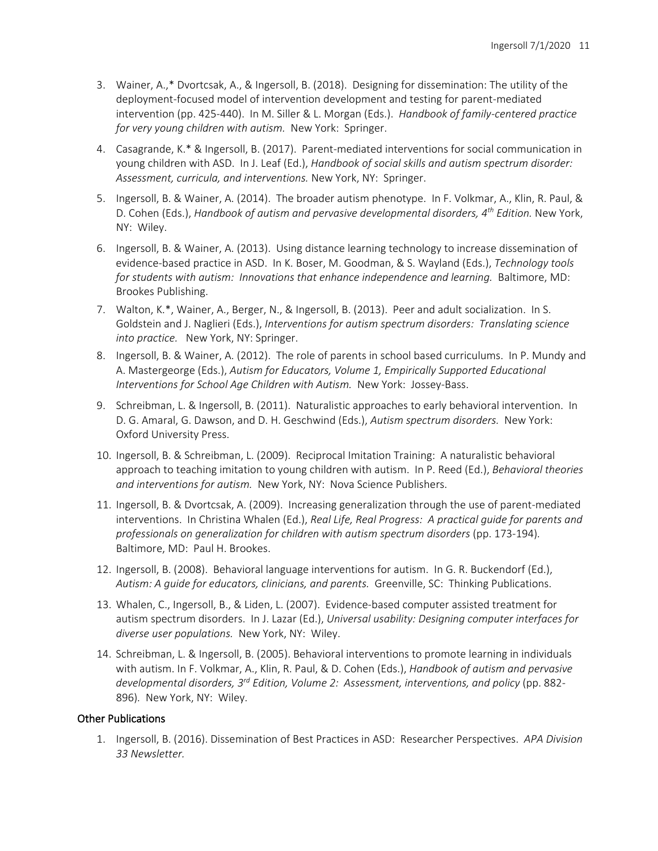- 3. Wainer, A.,\* Dvortcsak, A., & Ingersoll, B. (2018). Designing for dissemination: The utility of the deployment-focused model of intervention development and testing for parent-mediated intervention (pp. 425-440). In M. Siller & L. Morgan (Eds.). *Handbook of family-centered practice for very young children with autism.* New York: Springer.
- 4. Casagrande, K.\* & Ingersoll, B. (2017). Parent-mediated interventions for social communication in young children with ASD. In J. Leaf (Ed.), *Handbook of social skills and autism spectrum disorder: Assessment, curricula, and interventions.* New York, NY: Springer.
- 5. Ingersoll, B. & Wainer, A. (2014). The broader autism phenotype. In F. Volkmar, A., Klin, R. Paul, & D. Cohen (Eds.), *Handbook of autism and pervasive developmental disorders, 4th Edition.* New York, NY: Wiley.
- 6. Ingersoll, B. & Wainer, A. (2013). Using distance learning technology to increase dissemination of evidence-based practice in ASD. In K. Boser, M. Goodman, & S. Wayland (Eds.), *Technology tools for students with autism: Innovations that enhance independence and learning. Baltimore, MD:* Brookes Publishing.
- 7. Walton, K.\*, Wainer, A., Berger, N., & Ingersoll, B. (2013). Peer and adult socialization. In S. Goldstein and J. Naglieri (Eds.), *Interventions for autism spectrum disorders: Translating science into practice.* New York, NY: Springer.
- 8. Ingersoll, B. & Wainer, A. (2012). The role of parents in school based curriculums. In P. Mundy and A. Mastergeorge (Eds.), *Autism for Educators, Volume 1, Empirically Supported Educational Interventions for School Age Children with Autism.* New York: Jossey-Bass.
- 9. Schreibman, L. & Ingersoll, B. (2011). Naturalistic approaches to early behavioral intervention. In D. G. Amaral, G. Dawson, and D. H. Geschwind (Eds.), *Autism spectrum disorders.* New York: Oxford University Press.
- 10. Ingersoll, B. & Schreibman, L. (2009). Reciprocal Imitation Training: A naturalistic behavioral approach to teaching imitation to young children with autism. In P. Reed (Ed.), *Behavioral theories and interventions for autism.* New York, NY: Nova Science Publishers.
- 11. Ingersoll, B. & Dvortcsak, A. (2009). Increasing generalization through the use of parent-mediated interventions. In Christina Whalen (Ed.), *Real Life, Real Progress: A practical guide for parents and professionals on generalization for children with autism spectrum disorders* (pp. 173-194)*.*  Baltimore, MD: Paul H. Brookes.
- 12. Ingersoll, B. (2008). Behavioral language interventions for autism. In G. R. Buckendorf (Ed.), *Autism: A guide for educators, clinicians, and parents.* Greenville, SC: Thinking Publications.
- 13. Whalen, C., Ingersoll, B., & Liden, L. (2007). Evidence-based computer assisted treatment for autism spectrum disorders. In J. Lazar (Ed.), *Universal usability: Designing computer interfaces for diverse user populations.* New York, NY: Wiley.
- 14. Schreibman, L. & Ingersoll, B. (2005). Behavioral interventions to promote learning in individuals with autism. In F. Volkmar, A., Klin, R. Paul, & D. Cohen (Eds.), *Handbook of autism and pervasive developmental disorders, 3rd Edition, Volume 2: Assessment, interventions, and policy* (pp. 882- 896)*.* New York, NY: Wiley.

# Other Publications

1. Ingersoll, B. (2016). Dissemination of Best Practices in ASD: Researcher Perspectives. *APA Division 33 Newsletter.*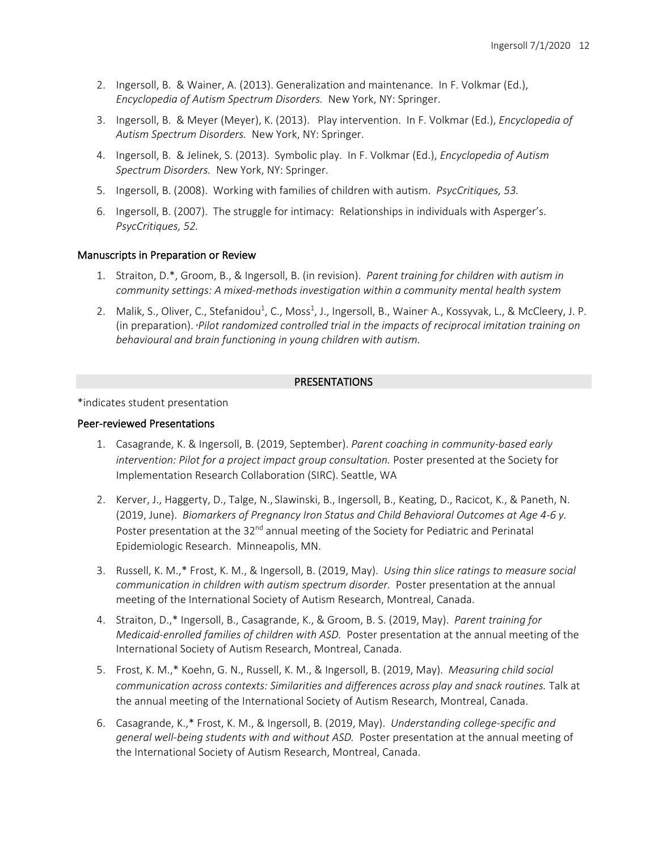- 2. Ingersoll, B. & Wainer, A. (2013). Generalization and maintenance. In F. Volkmar (Ed.), *Encyclopedia of Autism Spectrum Disorders.* New York, NY: Springer.
- 3. Ingersoll, B. & Meyer (Meyer), K. (2013). Play intervention. In F. Volkmar (Ed.), *Encyclopedia of Autism Spectrum Disorders.* New York, NY: Springer.
- 4. Ingersoll, B. & Jelinek, S. (2013). Symbolic play. In F. Volkmar (Ed.), *Encyclopedia of Autism Spectrum Disorders.* New York, NY: Springer.
- 5. Ingersoll, B. (2008). Working with families of children with autism. *PsycCritiques, 53.*
- 6. Ingersoll, B. (2007). The struggle for intimacy: Relationships in individuals with Asperger's. *PsycCritiques, 52.*

# Manuscripts in Preparation or Review

- 1. Straiton, D.\*, Groom, B., & Ingersoll, B. (in revision). *Parent training for children with autism in community settings: A mixed-methods investigation within a community mental health system*
- 2. Malik, S., Oliver, C., Stefanidou<sup>1</sup>, C., Moss<sup>1</sup>, J., Ingersoll, B., Wainer A., Kossyvak, L., & McCleery, J. P. (in preparation). 'Pilot randomized controlled trial in the impacts of reciprocal imitation training on *behavioural and brain functioning in young children with autism.*

# PRESENTATIONS

\*indicates student presentation

# Peer-reviewed Presentations

- 1. Casagrande, K. & Ingersoll, B. (2019, September). *Parent coaching in community-based early intervention: Pilot for a project impact group consultation.* Poster presented at the Society for Implementation Research Collaboration (SIRC). Seattle, WA
- 2. Kerver, J., Haggerty, D., Talge, N., Slawinski, B., Ingersoll, B., Keating, D., Racicot, K., & Paneth, N. (2019, June). *Biomarkers of Pregnancy Iron Status and Child Behavioral Outcomes at Age 4-6 y.* Poster presentation at the 32<sup>nd</sup> annual meeting of the Society for Pediatric and Perinatal Epidemiologic Research. Minneapolis, MN.
- 3. Russell, K. M.,\* Frost, K. M., & Ingersoll, B. (2019, May). *Using thin slice ratings to [measure](https://insar.confex.com/insar/2019/webprogram/Paper30216.html) social [communication](https://insar.confex.com/insar/2019/webprogram/Paper30216.html) in children with autism spectrum disorder.* Poster presentation at the annual meeting of the International Society of Autism Research, Montreal, Canada.
- 4. Straiton, D.,\* Ingersoll, B., Casagrande, K., & Groom, B. S. (2019, May). *Parent [training](https://insar.confex.com/insar/2019/webprogram/Paper30772.html) for [Medicaid-enrolled](https://insar.confex.com/insar/2019/webprogram/Paper30772.html) families of children with ASD.* Poster presentation at the annual meeting of the International Society of Autism Research, Montreal, Canada.
- 5. Frost, K. M.,\* Koehn, G. N., Russell, K. M., & Ingersoll, B. (2019, May). *[Measuring](https://insar.confex.com/insar/2019/webprogram/Paper30198.html) child social [communication](https://insar.confex.com/insar/2019/webprogram/Paper30198.html) across contexts: Similarities and differences across play and snack routines.* Talk at the annual meeting of the International Society of Autism Research, Montreal, Canada.
- 6. Casagrande, K.,\* Frost, K. M., & Ingersoll, B. (2019, May). *Understanding [college-specific](https://insar.confex.com/insar/2019/webprogram/Paper30945.html) and general [well-being](https://insar.confex.com/insar/2019/webprogram/Paper30945.html) students with and without ASD.* Poster presentation at the annual meeting of the International Society of Autism Research, Montreal, Canada.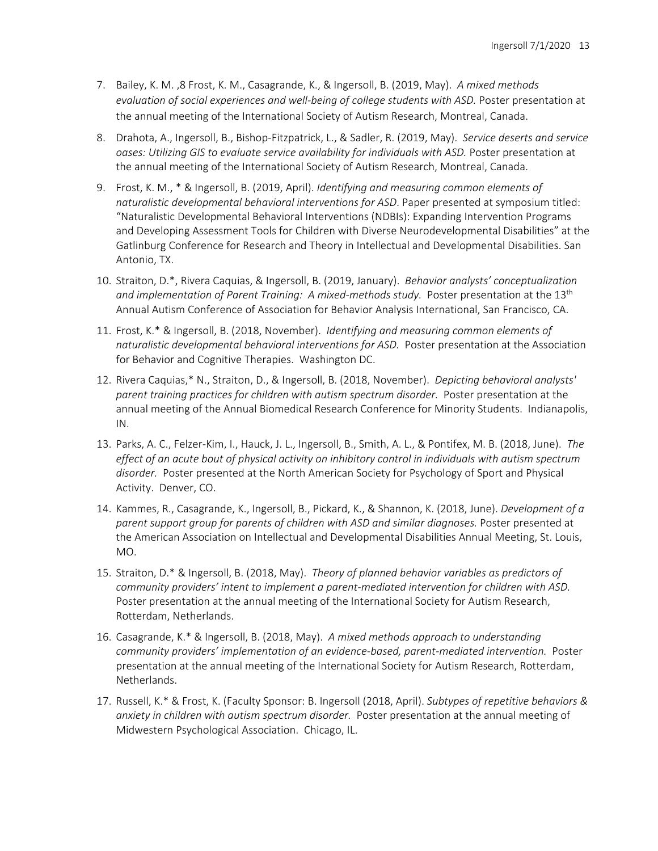- 7. Bailey, K. M. ,8 Frost, K. M., Casagrande, K., & Ingersoll, B. (2019, May). *A mixed [methods](https://insar.confex.com/insar/2019/webprogram/Paper30658.html) evaluation of social [experiences](https://insar.confex.com/insar/2019/webprogram/Paper30658.html) and well-being of college students with ASD.* Poster presentation at the annual meeting of the International Society of Autism Research, Montreal, Canada.
- 8. Drahota, A., Ingersoll, B., Bishop-Fitzpatrick, L., & Sadler, R. (2019, May). *Service [deserts](https://insar.confex.com/insar/2019/webprogram/Paper30685.html) and service oases: Utilizing GIS to evaluate service [availability](https://insar.confex.com/insar/2019/webprogram/Paper30685.html) for individuals with ASD.* Poster presentation at the annual meeting of the International Society of Autism Research, Montreal, Canada.
- 9. Frost, K. M., \* & Ingersoll, B. (2019, April). *Identifying and measuring common elements of naturalistic developmental behavioral interventions for ASD*. Paper presented at symposium titled: "Naturalistic Developmental Behavioral Interventions (NDBIs): Expanding Intervention Programs and Developing Assessment Tools for Children with Diverse Neurodevelopmental Disabilities" at the Gatlinburg Conference for Research and Theory in Intellectual and Developmental Disabilities. San Antonio, TX.
- 10. Straiton, D.\*, Rivera Caquias, & Ingersoll, B. (2019, January). *Behavior analysts' conceptualization and implementation of Parent Training: A mixed-methods study.* Poster presentation at the 13th Annual Autism Conference of Association for Behavior Analysis International, San Francisco, CA.
- 11. Frost, K.\* & Ingersoll, B. (2018, November). *Identifying and measuring common elements of naturalistic developmental behavioral interventions for ASD.* Poster presentation at the Association for Behavior and Cognitive Therapies.Washington DC.
- 12. Rivera Caquias,\* N., Straiton, D., & Ingersoll, B. (2018, November). *Depicting behavioral analysts' parent training practices for children with autism spectrum disorder.* Poster presentation at the annual meeting of the Annual Biomedical Research Conference for Minority Students. Indianapolis, IN.
- 13. Parks, A. C., Felzer-Kim, I., Hauck, J. L., Ingersoll, B., Smith, A. L., & Pontifex, M. B. (2018, June). *The effect of an acute bout of physical activity on inhibitory control in individuals with autism spectrum disorder.* Poster presented at the North American Society for Psychology of Sport and Physical Activity. Denver, CO.
- 14. Kammes, R., Casagrande, K., Ingersoll, B., Pickard, K., & Shannon, K. (2018, June). *Development of a parent support group for parents of children with ASD and similar diagnoses.* Poster presented at the American Association on Intellectual and Developmental Disabilities Annual Meeting, St. Louis, MO.
- 15. Straiton, D.\* & Ingersoll, B. (2018, May). *Theory of planned behavior variables as predictors of community providers' intent to implement a parent-mediated intervention for children with ASD.* Poster presentation at the annual meeting of the International Society for Autism Research, Rotterdam, Netherlands.
- 16. Casagrande, K.\* & Ingersoll, B. (2018, May). *A mixed methods approach to understanding community providers' implementation of an evidence-based, parent-mediated intervention.* Poster presentation at the annual meeting of the International Society for Autism Research, Rotterdam, Netherlands.
- 17. Russell, K.\* & Frost, K. (Faculty Sponsor: B. Ingersoll (2018, April). *Subtypes of repetitive behaviors & anxiety in children with autism spectrum disorder.* Poster presentation at the annual meeting of Midwestern Psychological Association. Chicago, IL.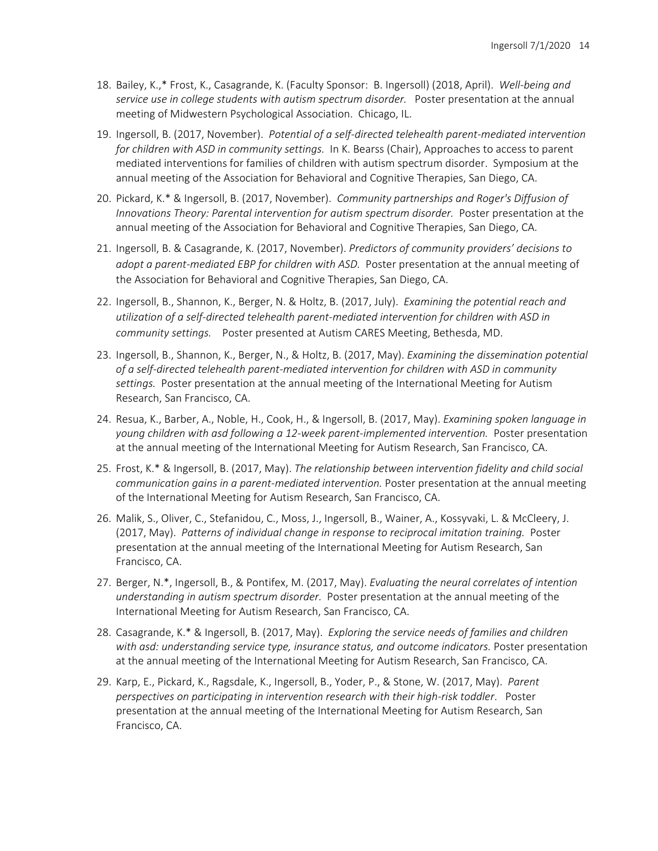- 18. Bailey, K.,\* Frost, K., Casagrande, K. (Faculty Sponsor: B. Ingersoll) (2018, April). *Well-being and service use in college students with autism spectrum disorder.* Poster presentation at the annual meeting of Midwestern Psychological Association. Chicago, IL.
- 19. Ingersoll, B. (2017, November). *Potential of a self-directed telehealth parent-mediated intervention for children with ASD in community settings.* In K. Bearss (Chair), Approaches to access to parent mediated interventions for families of children with autism spectrum disorder. Symposium at the annual meeting of the Association for Behavioral and Cognitive Therapies, San Diego, CA.
- 20. Pickard, K.\* & Ingersoll, B. (2017, November). *Community partnerships and Roger's Diffusion of Innovations Theory: Parental intervention for autism spectrum disorder.* Poster presentation at the annual meeting of the Association for Behavioral and Cognitive Therapies, San Diego, CA.
- 21. Ingersoll, B. & Casagrande, K. (2017, November). *Predictors of community providers' decisions to adopt a parent-mediated EBP for children with ASD.* Poster presentation at the annual meeting of the Association for Behavioral and Cognitive Therapies, San Diego, CA.
- 22. Ingersoll, B., Shannon, K., Berger, N. & Holtz, B. (2017, July). *Examining the potential reach and utilization of a self-directed telehealth parent-mediated intervention for children with ASD in community settings.* Poster presented at Autism CARES Meeting, Bethesda, MD.
- 23. Ingersoll, B., Shannon, K., Berger, N., & Holtz, B. (2017, May). *Examining the dissemination potential of a self-directed telehealth parent-mediated intervention for children with ASD in community settings.* Poster presentation at the annual meeting of the International Meeting for Autism Research, San Francisco, CA.
- 24. Resua, K., Barber, A., Noble, H., Cook, H., & Ingersoll, B. (2017, May). *Examining spoken language in young children with asd following a 12-week parent-implemented intervention.* Poster presentation at the annual meeting of the International Meeting for Autism Research, San Francisco, CA.
- 25. Frost, K.\* & Ingersoll, B. (2017, May). *The relationship between intervention fidelity and child social communication gains in a parent-mediated intervention.* Poster presentation at the annual meeting of the International Meeting for Autism Research, San Francisco, CA.
- 26. Malik, S., Oliver, C., Stefanidou, C., Moss, J., Ingersoll, B., Wainer, A., Kossyvaki, L. & McCleery, J. (2017, May). *Patterns of individual change in response to reciprocal imitation training.* Poster presentation at the annual meeting of the International Meeting for Autism Research, San Francisco, CA.
- 27. Berger, N.\*, Ingersoll, B., & Pontifex, M. (2017, May). *Evaluating the neural correlates of intention understanding in autism spectrum disorder.* Poster presentation at the annual meeting of the International Meeting for Autism Research, San Francisco, CA.
- 28. Casagrande, K.\* & Ingersoll, B. (2017, May). *Exploring the service needs of families and children with asd: understanding service type, insurance status, and outcome indicators.* Poster presentation at the annual meeting of the International Meeting for Autism Research, San Francisco, CA.
- 29. Karp, E., Pickard, K., Ragsdale, K., Ingersoll, B., Yoder, P., & Stone, W. (2017, May). *Parent perspectives on participating in intervention research with their high-risk toddler*. Poster presentation at the annual meeting of the International Meeting for Autism Research, San Francisco, CA.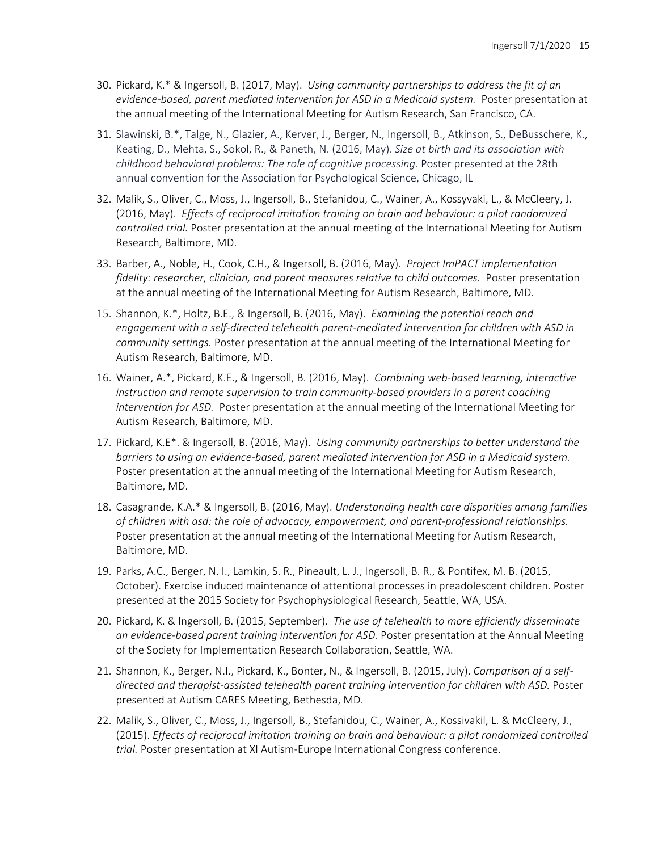- 30. Pickard, K.\* & Ingersoll, B. (2017, May). *Using community partnerships to address the fit of an evidence-based, parent mediated intervention for ASD in a Medicaid system.* Poster presentation at the annual meeting of the International Meeting for Autism Research, San Francisco, CA.
- 31. Slawinski, B.\*, Talge, N., Glazier, A., Kerver, J., Berger, N., Ingersoll, B., Atkinson, S., DeBusschere, K., Keating, D., Mehta, S., Sokol, R., & Paneth, N. (2016, May). *Size at birth and its association with childhood behavioral problems: The role of cognitive processing.* Poster presented at the 28th annual convention for the Association for Psychological Science, Chicago, IL
- 32. Malik, S., Oliver, C., Moss, J., Ingersoll, B., Stefanidou, C., Wainer, A., Kossyvaki, L., & McCleery, J. (2016, May). *[Effects of reciprocal imitation training on brain and behaviour: a pilot randomized](https://imfar.confex.com/imfar/2016/webprogram/Paper22063.html)  [controlled trial.](https://imfar.confex.com/imfar/2016/webprogram/Paper22063.html)* Poster presentation at the annual meeting of the International Meeting for Autism Research, Baltimore, MD.
- 33. Barber, A., Noble, H., Cook, C.H., & Ingersoll, B. (2016, May). *Project ImPACT [implementation](https://imfar.confex.com/imfar/2016/webprogram/Paper23114.html) fidelity: [researcher,](https://imfar.confex.com/imfar/2016/webprogram/Paper23114.html) clinician, and parent measures relative to child outcomes.* Poster presentation at the annual meeting of the International Meeting for Autism Research, Baltimore, MD.
- 15. Shannon, K.\*, Holtz, B.E., & Ingersoll, B. (2016, May). *[Examining](https://imfar.confex.com/imfar/2016/webprogram/Paper22804.html) the potential reach and engagement with a self-directed telehealth [parent-mediated](https://imfar.confex.com/imfar/2016/webprogram/Paper22804.html) intervention for children with ASD in [community](https://imfar.confex.com/imfar/2016/webprogram/Paper22804.html) settings.* Poster presentation at the annual meeting of the International Meeting for Autism Research, Baltimore, MD.
- 16. Wainer, A.\*, Pickard, K.E., & Ingersoll, B. (2016, May). *Combining [web-based](https://imfar.confex.com/imfar/2016/webprogram/Paper22669.html) learning, interactive instruction and remote supervision to train [community-based](https://imfar.confex.com/imfar/2016/webprogram/Paper22669.html) providers in a parent coaching [intervention](https://imfar.confex.com/imfar/2016/webprogram/Paper22669.html) for ASD.* Poster presentation at the annual meeting of the International Meeting for Autism Research, Baltimore, MD.
- 17. Pickard, K.E\*. & Ingersoll, B. (2016, May). *Using community [partnerships](https://imfar.confex.com/imfar/2016/webprogram/Paper21241.html) to better understand the barriers to using an [evidence-based,](https://imfar.confex.com/imfar/2016/webprogram/Paper21241.html) parent mediated intervention for ASD in a Medicaid system.*  Poster presentation at the annual meeting of the International Meeting for Autism Research, Baltimore, MD.
- 18. Casagrande, K.A.\* & Ingersoll, B. (2016, May). *[Understanding](https://imfar.confex.com/imfar/2016/webprogram/Paper22569.html) health care disparities among families of children with asd: the role of advocacy, empowerment, and [parent-professional](https://imfar.confex.com/imfar/2016/webprogram/Paper22569.html) relationships.*  Poster presentation at the annual meeting of the International Meeting for Autism Research, Baltimore, MD.
- 19. Parks, A.C., Berger, N. I., Lamkin, S. R., Pineault, L. J., Ingersoll, B. R., & Pontifex, M. B. (2015, October). Exercise induced maintenance of attentional processes in preadolescent children. Poster presented at the 2015 Society for Psychophysiological Research, Seattle, WA, USA.
- 20. Pickard, K. & Ingersoll, B. (2015, September). *The use of telehealth to more efficiently disseminate an evidence-based parent training intervention for ASD.* Poster presentation at the Annual Meeting of the Society for Implementation Research Collaboration, Seattle, WA.
- 21. Shannon, K., Berger, N.I., Pickard, K., Bonter, N., & Ingersoll, B. (2015, July). *Comparison of a selfdirected and therapist-assisted telehealth parent training intervention for children with ASD.* Poster presented at Autism CARES Meeting, Bethesda, MD.
- 22. Malik, S., Oliver, C., Moss, J., Ingersoll, B., Stefanidou, C., Wainer, A., Kossivakil, L. & McCleery, J., (2015). *[Effects of reciprocal imitation training on brain and behaviour: a pilot](https://imfar.confex.com/imfar/2016/webprogram/Paper22063.html) randomized controlled [trial.](https://imfar.confex.com/imfar/2016/webprogram/Paper22063.html)* Poster presentation at XI Autism-Europe International Congress conference.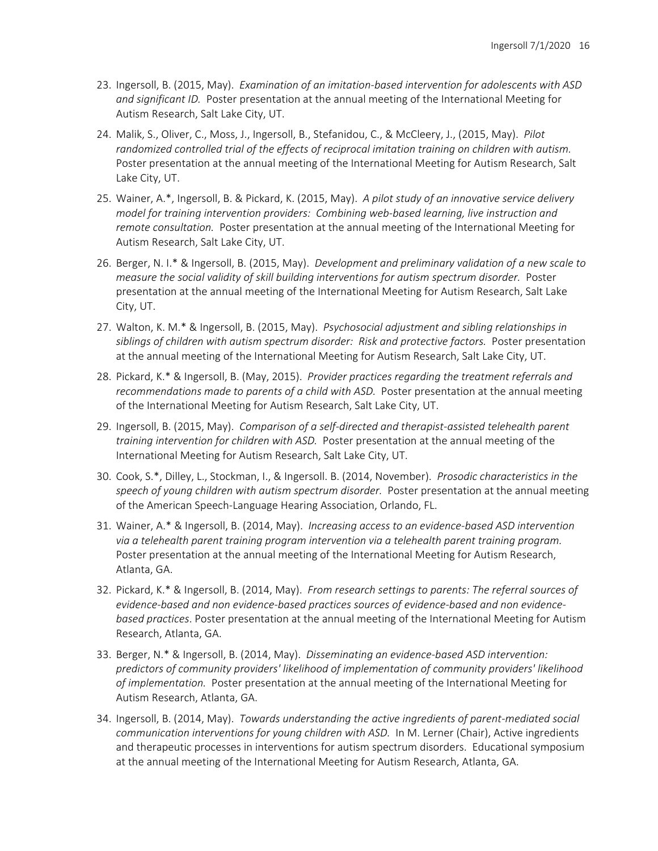- 23. Ingersoll, B. (2015, May). *Examination of an imitation-based intervention for adolescents with ASD and significant ID.* Poster presentation at the annual meeting of the International Meeting for Autism Research, Salt Lake City, UT.
- 24. Malik, S., Oliver, C., Moss, J., Ingersoll, B., Stefanidou, C., & McCleery, J., (2015, May). *Pilot randomized controlled trial of the effects of reciprocal imitation training on children with autism.*  Poster presentation at the annual meeting of the International Meeting for Autism Research, Salt Lake City, UT.
- 25. Wainer, A.\*, Ingersoll, B. & Pickard, K. (2015, May). *A pilot study of an innovative service delivery model for training intervention providers: Combining web-based learning, live instruction and remote consultation.* Poster presentation at the annual meeting of the International Meeting for Autism Research, Salt Lake City, UT.
- 26. Berger, N. I.\* & Ingersoll, B. (2015, May). *Development and preliminary validation of a new scale to measure the social validity of skill building interventions for autism spectrum disorder.* Poster presentation at the annual meeting of the International Meeting for Autism Research, Salt Lake City, UT.
- 27. Walton, K. M.\* & Ingersoll, B. (2015, May). *Psychosocial adjustment and sibling relationships in*  siblings of children with autism spectrum disorder: Risk and protective factors. Poster presentation at the annual meeting of the International Meeting for Autism Research, Salt Lake City, UT.
- 28. Pickard, K.\* & Ingersoll, B. (May, 2015). *Provider practices regarding the treatment referrals and recommendations made to parents of a child with ASD.* Poster presentation at the annual meeting of the International Meeting for Autism Research, Salt Lake City, UT.
- 29. Ingersoll, B. (2015, May). *Comparison of a self-directed and therapist-assisted telehealth parent training intervention for children with ASD.* Poster presentation at the annual meeting of the International Meeting for Autism Research, Salt Lake City, UT.
- 30. Cook, S.\*, Dilley, L., Stockman, I., & Ingersoll. B. (2014, November). *Prosodic characteristics in the speech of young children with autism spectrum disorder.* Poster presentation at the annual meeting of the American Speech-Language Hearing Association, Orlando, FL.
- 31. Wainer, A.\* & Ingersoll, B. (2014, May). *Increasing access to an evidence-based ASD intervention via a telehealth parent training program intervention via a telehealth parent training program.* Poster presentation at the annual meeting of the International Meeting for Autism Research, Atlanta, GA.
- 32. Pickard, K.\* & Ingersoll, B. (2014, May). *From research settings to parents: The referral sources of evidence-based and non evidence-based practices sources of evidence-based and non evidencebased practices*. Poster presentation at the annual meeting of the International Meeting for Autism Research, Atlanta, GA.
- 33. Berger, N.\* & Ingersoll, B. (2014, May). *Disseminating an evidence-based ASD intervention: predictors of community providers' likelihood of implementation of community providers' likelihood of implementation.* Poster presentation at the annual meeting of the International Meeting for Autism Research, Atlanta, GA.
- 34. Ingersoll, B. (2014, May). *Towards understanding the active ingredients of parent-mediated social communication interventions for young children with ASD.* In M. Lerner (Chair), Active ingredients and therapeutic processes in interventions for autism spectrum disorders. Educational symposium at the annual meeting of the International Meeting for Autism Research, Atlanta, GA.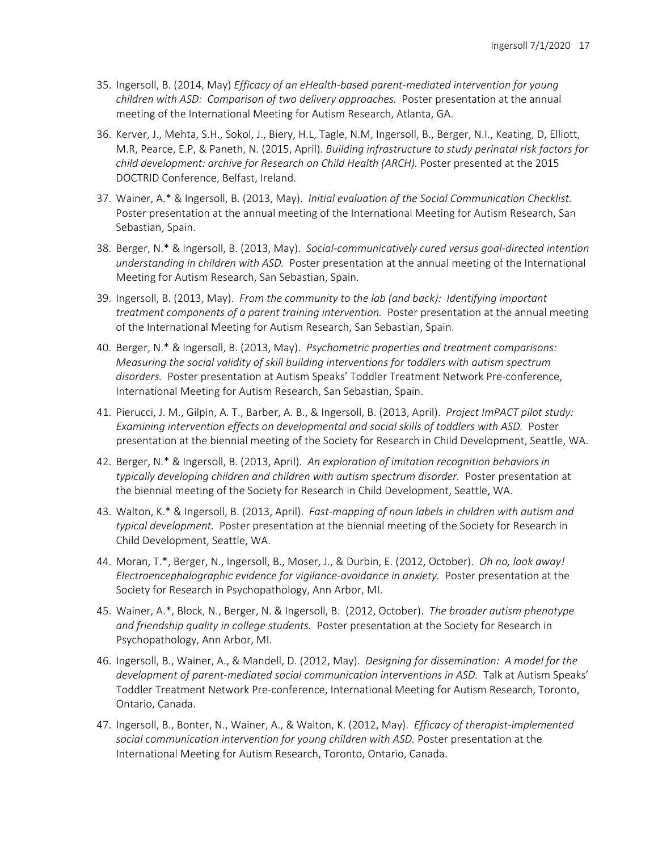- 35. Ingersoll, B. (2014, May) *Efficacy of an eHealth-based parent-mediated intervention for young children with ASD: Comparison of two delivery approaches.* Poster presentation at the annual meeting of the International Meeting for Autism Research, Atlanta, GA.
- 36. Kerver, J., Mehta, S.H., Sokol, J., Biery, H.L, Tagle, N.M, Ingersoll, B., Berger, N.I., Keating, D, Elliott, M.R, Pearce, E.P, & Paneth, N. (2015, April). *Building infrastructure to study perinatal risk factors for child development: archive for Research on Child Health (ARCH).* Poster presented at the 2015 DOCTRID Conference, Belfast, Ireland.
- 37. Wainer, A.\* & Ingersoll, B. (2013, May). *Initial evaluation of the Social Communication Checklist.*  Poster presentation at the annual meeting of the International Meeting for Autism Research, San Sebastian, Spain.
- 38. Berger, N.\* & Ingersoll, B. (2013, May). *Social-communicatively cured versus goal-directed intention understanding in children with ASD.* Poster presentation at the annual meeting of the International Meeting for Autism Research, San Sebastian, Spain.
- 39. Ingersoll, B. (2013, May). *From the community to the lab (and back): Identifying important treatment components of a parent training intervention.* Poster presentation at the annual meeting of the International Meeting for Autism Research, San Sebastian, Spain.
- 40. Berger, N.\* & Ingersoll, B. (2013, May). *Psychometric properties and treatment comparisons: Measuring the social validity of skill building interventions for toddlers with autism spectrum disorders.* Poster presentation at Autism Speaks' Toddler Treatment Network Pre-conference, International Meeting for Autism Research, San Sebastian, Spain.
- 41. Pierucci, J. M., Gilpin, A. T., Barber, A. B., & Ingersoll, B. (2013, April). *Project ImPACT pilot study: Examining intervention effects on developmental and social skills of toddlers with ASD.* Poster presentation at the biennial meeting of the Society for Research in Child Development, Seattle, WA.
- 42. Berger, N.\* & Ingersoll, B. (2013, April). *An exploration of imitation recognition behaviors in typically developing children and children with autism spectrum disorder.* Poster presentation at the biennial meeting of the Society for Research in Child Development, Seattle, WA.
- 43. Walton, K.\* & Ingersoll, B. (2013, April). *Fast-mapping of noun labels in children with autism and typical development.* Poster presentation at the biennial meeting of the Society for Research in Child Development, Seattle, WA.
- 44. Moran, T.\*, Berger, N., Ingersoll, B., Moser, J., & Durbin, E. (2012, October). *Oh no, look away! Electroencephalographic evidence for vigilance-avoidance in anxiety.* Poster presentation at the Society for Research in Psychopathology, Ann Arbor, MI.
- 45. Wainer, A.\*, Block, N., Berger, N. & Ingersoll, B. (2012, October). *The broader autism phenotype and friendship quality in college students.* Poster presentation at the Society for Research in Psychopathology, Ann Arbor, MI.
- 46. Ingersoll, B., Wainer, A., & Mandell, D. (2012, May). *Designing for dissemination: A model for the development of parent-mediated social communication interventions in ASD.* Talk at Autism Speaks' Toddler Treatment Network Pre-conference, International Meeting for Autism Research, Toronto, Ontario, Canada.
- 47. Ingersoll, B., Bonter, N., Wainer, A., & Walton, K. (2012, May). *[Efficacy of therapist-implemented](https://imfar.confex.com/imfar/2012/webprogram/Paper10812.html)  [social communication intervention for young children with ASD.](https://imfar.confex.com/imfar/2012/webprogram/Paper10812.html)* Poster presentation at the International Meeting for Autism Research, Toronto, Ontario, Canada.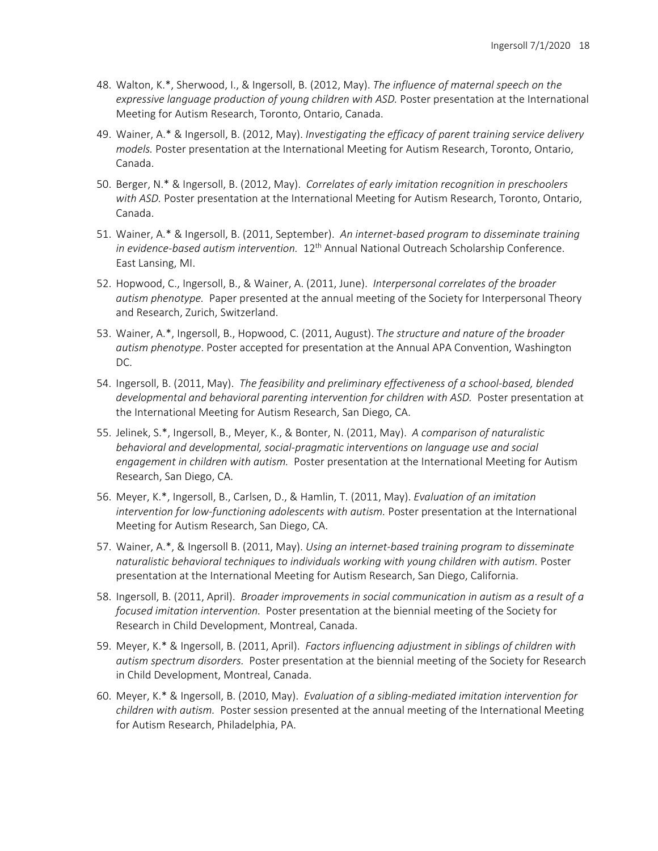- 48. Walton, K.\*, Sherwood, I., & Ingersoll, B. (2012, May). *[The influence of maternal](https://imfar.confex.com/imfar/2012/webprogram/Paper10788.html) speech on the [expressive language production of young children with ASD.](https://imfar.confex.com/imfar/2012/webprogram/Paper10788.html)* Poster presentation at the International Meeting for Autism Research, Toronto, Ontario, Canada.
- 49. Wainer, A.\* & Ingersoll, B. (2012, May). *[Investigating the efficacy of parent](https://imfar.confex.com/imfar/2012/webprogram/Paper10462.html) training service delivery [models.](https://imfar.confex.com/imfar/2012/webprogram/Paper10462.html)* Poster presentation at the International Meeting for Autism Research, Toronto, Ontario, Canada.
- 50. Berger, N.\* & Ingersoll, B. (2012, May). *Correlates [of early imitation recognition in preschoolers](https://imfar.confex.com/imfar/2012/webprogram/Paper10580.html)  [with ASD.](https://imfar.confex.com/imfar/2012/webprogram/Paper10580.html)* Poster presentation at the International Meeting for Autism Research, Toronto, Ontario, Canada.
- 51. Wainer, A.\* & Ingersoll, B. (2011, September). *An internet-based program to disseminate training*  in evidence-based autism intervention. 12<sup>th</sup> Annual National Outreach Scholarship Conference. East Lansing, MI.
- 52. Hopwood, C., Ingersoll, B., & Wainer, A. (2011, June). *Interpersonal correlates of the broader autism phenotype.* Paper presented at the annual meeting of the Society for Interpersonal Theory and Research, Zurich, Switzerland.
- 53. Wainer, A.\*, Ingersoll, B., Hopwood, C. (2011, August). T*he structure and nature of the broader autism phenotype*. Poster accepted for presentation at the Annual APA Convention, Washington DC.
- 54. Ingersoll, B. (2011, May). *The feasibility and preliminary effectiveness of a school-based, blended developmental and behavioral parenting intervention for children with ASD.* Poster presentation at the International Meeting for Autism Research, San Diego, CA.
- 55. Jelinek, S.\*, Ingersoll, B., Meyer, K., & Bonter, N. (2011, May). *A comparison of naturalistic behavioral and developmental, social-pragmatic interventions on language use and social engagement in children with autism.* Poster presentation at the International Meeting for Autism Research, San Diego, CA.
- 56. Meyer, K.\*, Ingersoll, B., Carlsen, D., & Hamlin, T. (2011, May). *Evaluation of an imitation intervention for low-functioning adolescents with autism.* Poster presentation at the International Meeting for Autism Research, San Diego, CA.
- 57. Wainer, A.\*, & Ingersoll B. (2011, May). *Using an internet-based training program to disseminate naturalistic behavioral techniques to individuals working with young children with autism.* Poster presentation at the International Meeting for Autism Research, San Diego, California.
- 58. Ingersoll, B. (2011, April). *Broader improvements in social communication in autism as a result of a focused imitation intervention.* Poster presentation at the biennial meeting of the Society for Research in Child Development, Montreal, Canada.
- 59. Meyer, K.\* & Ingersoll, B. (2011, April). *Factors influencing adjustment in siblings of children with autism spectrum disorders.* Poster presentation at the biennial meeting of the Society for Research in Child Development, Montreal, Canada.
- 60. Meyer, K.\* & Ingersoll, B. (2010, May). *Evaluation of a sibling-mediated imitation intervention for children with autism.* Poster session presented at the annual meeting of the International Meeting for Autism Research, Philadelphia, PA.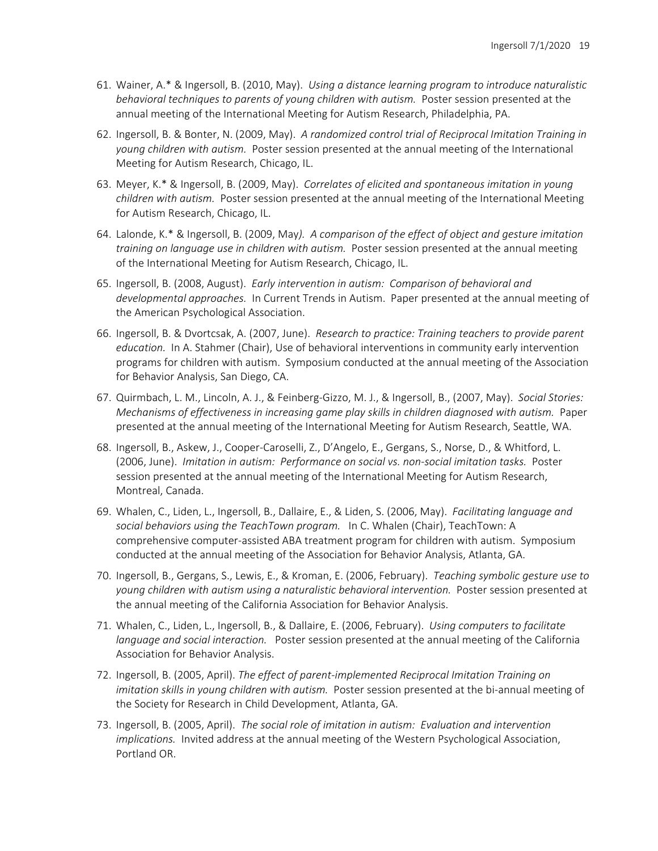- 61. Wainer, A.\* & Ingersoll, B. (2010, May). *Using a distance learning program to introduce naturalistic behavioral techniques to parents of young children with autism.* Poster session presented at the annual meeting of the International Meeting for Autism Research, Philadelphia, PA.
- 62. Ingersoll, B. & Bonter, N. (2009, May). *A randomized control trial of Reciprocal Imitation Training in young children with autism.* Poster session presented at the annual meeting of the International Meeting for Autism Research, Chicago, IL.
- 63. Meyer, K.\* & Ingersoll, B. (2009, May). *Correlates of elicited and spontaneous imitation in young children with autism.* Poster session presented at the annual meeting of the International Meeting for Autism Research, Chicago, IL.
- 64. Lalonde, K.\* & Ingersoll, B. (2009, May*). A comparison of the effect of object and gesture imitation training on language use in children with autism.* Poster session presented at the annual meeting of the International Meeting for Autism Research, Chicago, IL.
- 65. Ingersoll, B. (2008, August). *Early intervention in autism: Comparison of behavioral and developmental approaches.* In Current Trends in Autism. Paper presented at the annual meeting of the American Psychological Association.
- 66. Ingersoll, B. & Dvortcsak, A. (2007, June). *Research to practice: Training teachers to provide parent education.* In A. Stahmer (Chair), Use of behavioral interventions in community early intervention programs for children with autism. Symposium conducted at the annual meeting of the Association for Behavior Analysis, San Diego, CA.
- 67. Quirmbach, L. M., Lincoln, A. J., & Feinberg-Gizzo, M. J., & Ingersoll, B., (2007, May). *Social Stories: Mechanisms of effectiveness in increasing game play skills in children diagnosed with autism.* Paper presented at the annual meeting of the International Meeting for Autism Research, Seattle, WA.
- 68. Ingersoll, B., Askew, J., Cooper-Caroselli, Z., D'Angelo, E., Gergans, S., Norse, D., & Whitford, L. (2006, June). *Imitation in autism: Performance on social vs. non-social imitation tasks.* Poster session presented at the annual meeting of the International Meeting for Autism Research, Montreal, Canada.
- 69. Whalen, C., Liden, L., Ingersoll, B., Dallaire, E., & Liden, S. (2006, May). *Facilitating language and social behaviors using the TeachTown program.* In C. Whalen (Chair), TeachTown: A comprehensive computer-assisted ABA treatment program for children with autism. Symposium conducted at the annual meeting of the Association for Behavior Analysis, Atlanta, GA.
- 70. Ingersoll, B., Gergans, S., Lewis, E., & Kroman, E. (2006, February). *Teaching symbolic gesture use to young children with autism using a naturalistic behavioral intervention.* Poster session presented at the annual meeting of the California Association for Behavior Analysis.
- 71. Whalen, C., Liden, L., Ingersoll, B., & Dallaire, E. (2006, February). *Using computers to facilitate language and social interaction.* Poster session presented at the annual meeting of the California Association for Behavior Analysis.
- 72. Ingersoll, B. (2005, April). *The effect of parent-implemented Reciprocal Imitation Training on imitation skills in young children with autism.* Poster session presented at the bi-annual meeting of the Society for Research in Child Development, Atlanta, GA.
- 73. Ingersoll, B. (2005, April). *The social role of imitation in autism: Evaluation and intervention implications.* Invited address at the annual meeting of the Western Psychological Association, Portland OR.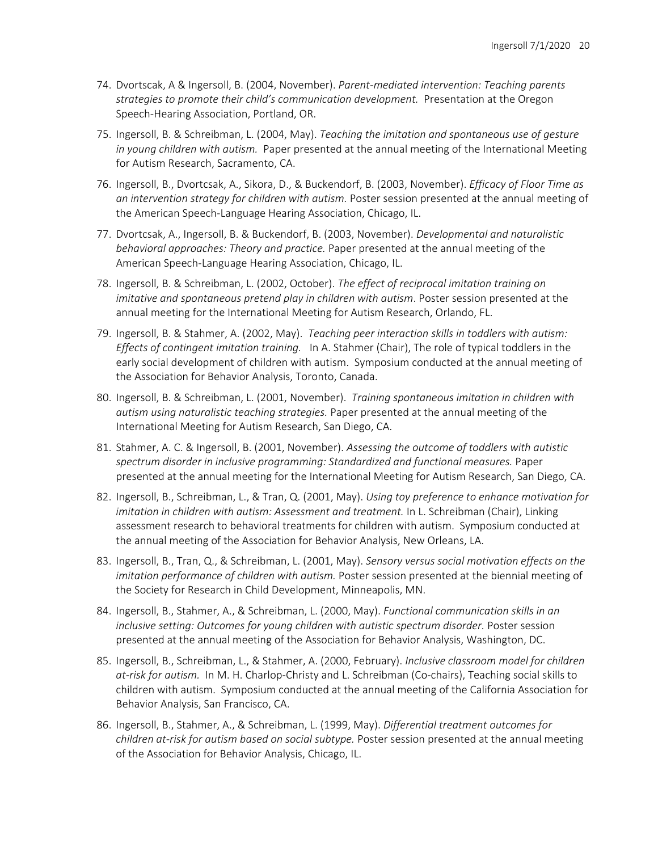- 74. Dvortscak, A & Ingersoll, B. (2004, November). *Parent-mediated intervention: Teaching parents strategies to promote their child's communication development.* Presentation at the Oregon Speech-Hearing Association, Portland, OR.
- 75. Ingersoll, B. & Schreibman, L. (2004, May). *Teaching the imitation and spontaneous use of gesture in young children with autism.* Paper presented at the annual meeting of the International Meeting for Autism Research, Sacramento, CA.
- 76. Ingersoll, B., Dvortcsak, A., Sikora, D., & Buckendorf, B. (2003, November). *Efficacy of Floor Time as an intervention strategy for children with autism.* Poster session presented at the annual meeting of the American Speech-Language Hearing Association, Chicago, IL.
- 77. Dvortcsak, A., Ingersoll, B. & Buckendorf, B. (2003, November). *Developmental and naturalistic behavioral approaches: Theory and practice.* Paper presented at the annual meeting of the American Speech-Language Hearing Association, Chicago, IL.
- 78. Ingersoll, B. & Schreibman, L. (2002, October). *The effect of reciprocal imitation training on imitative and spontaneous pretend play in children with autism*. Poster session presented at the annual meeting for the International Meeting for Autism Research, Orlando, FL.
- 79. Ingersoll, B. & Stahmer, A. (2002, May). *Teaching peer interaction skills in toddlers with autism: Effects of contingent imitation training.* In A. Stahmer (Chair), The role of typical toddlers in the early social development of children with autism. Symposium conducted at the annual meeting of the Association for Behavior Analysis, Toronto, Canada.
- 80. Ingersoll, B. & Schreibman, L. (2001, November). *Training spontaneous imitation in children with autism using naturalistic teaching strategies.* Paper presented at the annual meeting of the International Meeting for Autism Research, San Diego, CA.
- 81. Stahmer, A. C. & Ingersoll, B. (2001, November). *Assessing the outcome of toddlers with autistic spectrum disorder in inclusive programming: Standardized and functional measures.* Paper presented at the annual meeting for the International Meeting for Autism Research, San Diego, CA.
- 82. Ingersoll, B., Schreibman, L., & Tran, Q. (2001, May). *Using toy preference to enhance motivation for imitation in children with autism: Assessment and treatment.* In L. Schreibman (Chair), Linking assessment research to behavioral treatments for children with autism. Symposium conducted at the annual meeting of the Association for Behavior Analysis, New Orleans, LA.
- 83. Ingersoll, B., Tran, Q., & Schreibman, L. (2001, May). *Sensory versus social motivation effects on the imitation performance of children with autism.* Poster session presented at the biennial meeting of the Society for Research in Child Development, Minneapolis, MN.
- 84. Ingersoll, B., Stahmer, A., & Schreibman, L. (2000, May). *Functional communication skills in an inclusive setting: Outcomes for young children with autistic spectrum disorder.* Poster session presented at the annual meeting of the Association for Behavior Analysis, Washington, DC.
- 85. Ingersoll, B., Schreibman, L., & Stahmer, A. (2000, February). *Inclusive classroom model for children at-risk for autism.* In M. H. Charlop-Christy and L. Schreibman (Co-chairs), Teaching social skills to children with autism. Symposium conducted at the annual meeting of the California Association for Behavior Analysis, San Francisco, CA.
- 86. Ingersoll, B., Stahmer, A., & Schreibman, L. (1999, May). *Differential treatment outcomes for children at-risk for autism based on social subtype.* Poster session presented at the annual meeting of the Association for Behavior Analysis, Chicago, IL.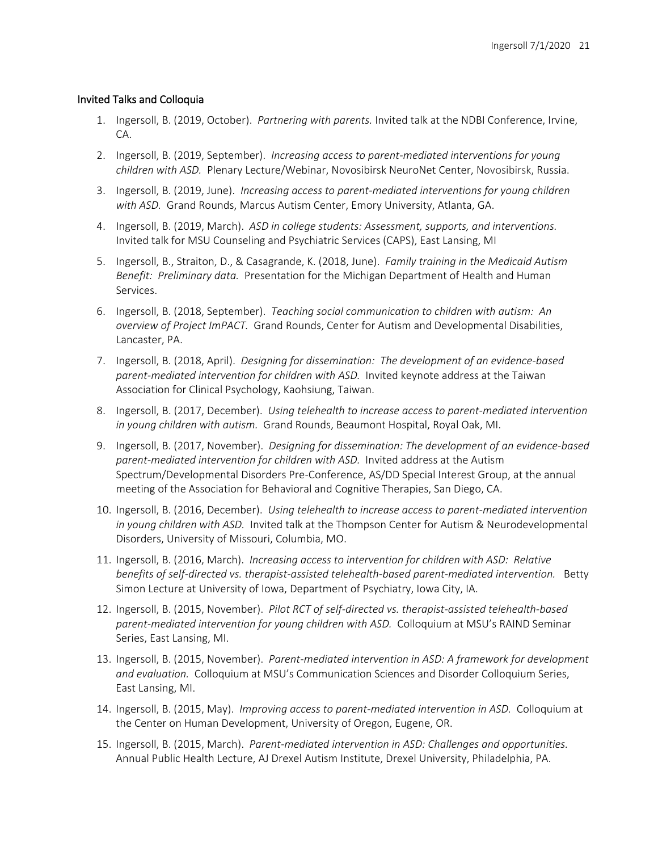# Invited Talks and Colloquia

- 1. Ingersoll, B. (2019, October). *Partnering with parents.* Invited talk at the NDBI Conference, Irvine, CA.
- 2. Ingersoll, B. (2019, September). *Increasing access to parent-mediated interventions for young children with ASD.* Plenary Lecture/Webinar, Novosibirsk NeuroNet Center, Novosibirsk, Russia.
- 3. Ingersoll, B. (2019, June). *Increasing access to parent-mediated interventions for young children with ASD.* Grand Rounds, Marcus Autism Center, Emory University, Atlanta, GA.
- 4. Ingersoll, B. (2019, March). *ASD in college students: Assessment, supports, and interventions.*  Invited talk for MSU Counseling and Psychiatric Services (CAPS), East Lansing, MI
- 5. Ingersoll, B., Straiton, D., & Casagrande, K. (2018, June). *Family training in the Medicaid Autism Benefit: Preliminary data.* Presentation for the Michigan Department of Health and Human Services.
- 6. Ingersoll, B. (2018, September). *Teaching social communication to children with autism: An overview of Project ImPACT.* Grand Rounds, Center for Autism and Developmental Disabilities, Lancaster, PA.
- 7. Ingersoll, B. (2018, April). *Designing for dissemination: The development of an evidence-based parent-mediated intervention for children with ASD.* Invited keynote address at the Taiwan Association for Clinical Psychology, Kaohsiung, Taiwan.
- 8. Ingersoll, B. (2017, December). *Using telehealth to increase access to parent-mediated intervention in young children with autism.* Grand Rounds, Beaumont Hospital, Royal Oak, MI.
- 9. Ingersoll, B. (2017, November). *Designing for dissemination: The development of an evidence-based parent-mediated intervention for children with ASD.* Invited address at the Autism Spectrum/Developmental Disorders Pre-Conference, AS/DD Special Interest Group, at the annual meeting of the Association for Behavioral and Cognitive Therapies, San Diego, CA.
- 10. Ingersoll, B. (2016, December). *Using telehealth to increase access to parent-mediated intervention in young children with ASD.* Invited talk at the Thompson Center for Autism & Neurodevelopmental Disorders, University of Missouri, Columbia, MO.
- 11. Ingersoll, B. (2016, March). *Increasing access to intervention for children with ASD: Relative benefits of self-directed vs. therapist-assisted telehealth-based parent-mediated intervention.* Betty Simon Lecture at University of Iowa, Department of Psychiatry, Iowa City, IA.
- 12. Ingersoll, B. (2015, November). *Pilot RCT of self-directed vs. therapist-assisted telehealth-based parent-mediated intervention for young children with ASD.* Colloquium at MSU's RAIND Seminar Series, East Lansing, MI.
- 13. Ingersoll, B. (2015, November). *Parent-mediated intervention in ASD: A framework for development and evaluation.* Colloquium at MSU's Communication Sciences and Disorder Colloquium Series, East Lansing, MI.
- 14. Ingersoll, B. (2015, May). *Improving access to parent-mediated intervention in ASD.* Colloquium at the Center on Human Development, University of Oregon, Eugene, OR.
- 15. Ingersoll, B. (2015, March). *Parent-mediated intervention in ASD: Challenges and opportunities.*  Annual Public Health Lecture, AJ Drexel Autism Institute, Drexel University, Philadelphia, PA.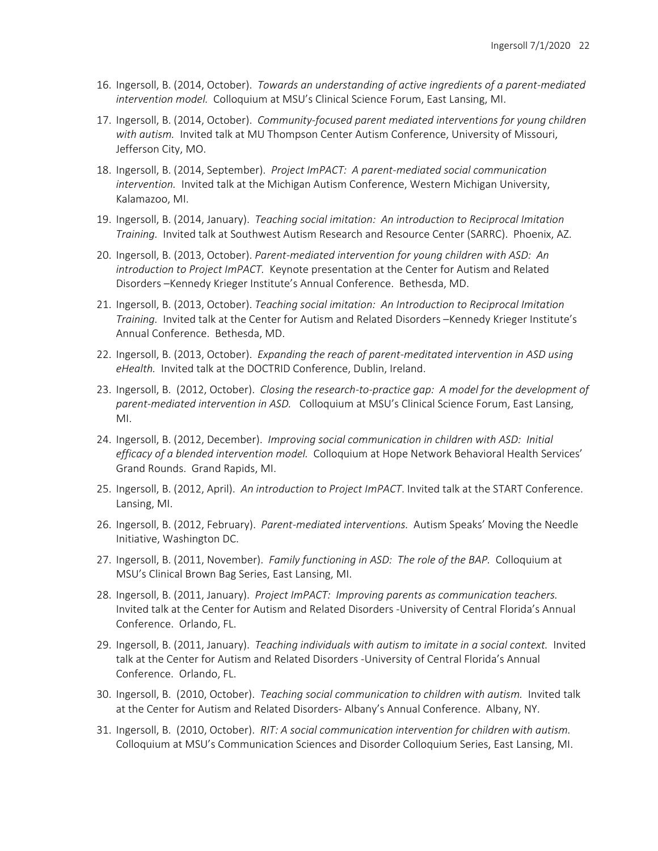- 16. Ingersoll, B. (2014, October). *Towards an understanding of active ingredients of a parent-mediated intervention model.* Colloquium at MSU's Clinical Science Forum, East Lansing, MI.
- 17. Ingersoll, B. (2014, October). *Community-focused parent mediated interventions for young children with autism.* Invited talk at MU Thompson Center Autism Conference, University of Missouri, Jefferson City, MO.
- 18. Ingersoll, B. (2014, September). *Project ImPACT: A parent-mediated social communication intervention.* Invited talk at the Michigan Autism Conference, Western Michigan University, Kalamazoo, MI.
- 19. Ingersoll, B. (2014, January). *Teaching social imitation: An introduction to Reciprocal Imitation Training.* Invited talk at Southwest Autism Research and Resource Center (SARRC). Phoenix, AZ.
- 20. Ingersoll, B. (2013, October). *Parent-mediated intervention for young children with ASD: An introduction to Project ImPACT.* Keynote presentation at the Center for Autism and Related Disorders –Kennedy Krieger Institute's Annual Conference. Bethesda, MD.
- 21. Ingersoll, B. (2013, October). *Teaching social imitation: An Introduction to Reciprocal Imitation Training.* Invited talk at the Center for Autism and Related Disorders –Kennedy Krieger Institute's Annual Conference. Bethesda, MD.
- 22. Ingersoll, B. (2013, October). *Expanding the reach of parent-meditated intervention in ASD using eHealth.* Invited talk at the DOCTRID Conference, Dublin, Ireland.
- 23. Ingersoll, B. (2012, October). *Closing the research-to-practice gap: A model for the development of parent-mediated intervention in ASD.* Colloquium at MSU's Clinical Science Forum, East Lansing, MI.
- 24. Ingersoll, B. (2012, December). *Improving social communication in children with ASD: Initial efficacy of a blended intervention model.* Colloquium at Hope Network Behavioral Health Services' Grand Rounds. Grand Rapids, MI.
- 25. Ingersoll, B. (2012, April). *An introduction to Project ImPACT*. Invited talk at the START Conference. Lansing, MI.
- 26. Ingersoll, B. (2012, February). *Parent-mediated interventions.* Autism Speaks' Moving the Needle Initiative, Washington DC.
- 27. Ingersoll, B. (2011, November). *Family functioning in ASD: The role of the BAP.* Colloquium at MSU's Clinical Brown Bag Series, East Lansing, MI.
- 28. Ingersoll, B. (2011, January). *Project ImPACT: Improving parents as communication teachers.*  Invited talk at the Center for Autism and Related Disorders -University of Central Florida's Annual Conference. Orlando, FL.
- 29. Ingersoll, B. (2011, January). *Teaching individuals with autism to imitate in a social context.* Invited talk at the Center for Autism and Related Disorders -University of Central Florida's Annual Conference. Orlando, FL.
- 30. Ingersoll, B. (2010, October). *Teaching social communication to children with autism.* Invited talk at the Center for Autism and Related Disorders- Albany's Annual Conference. Albany, NY.
- 31. Ingersoll, B. (2010, October). *RIT: A social communication intervention for children with autism.* Colloquium at MSU's Communication Sciences and Disorder Colloquium Series, East Lansing, MI.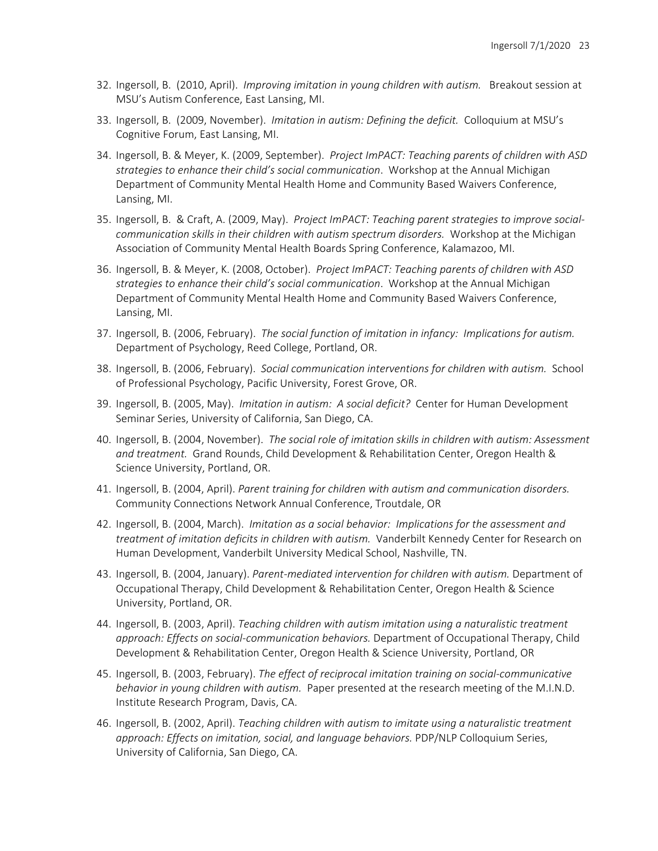- 32. Ingersoll, B. (2010, April). *Improving imitation in young children with autism.* Breakout session at MSU's Autism Conference, East Lansing, MI.
- 33. Ingersoll, B. (2009, November). *Imitation in autism: Defining the deficit.* Colloquium at MSU's Cognitive Forum, East Lansing, MI.
- 34. Ingersoll, B. & Meyer, K. (2009, September). *Project ImPACT: Teaching parents of children with ASD strategies to enhance their child's social communication*. Workshop at the Annual Michigan Department of Community Mental Health Home and Community Based Waivers Conference, Lansing, MI.
- 35. Ingersoll, B. & Craft, A. (2009, May). *Project ImPACT: Teaching parent strategies to improve socialcommunication skills in their children with autism spectrum disorders.* Workshop at the Michigan Association of Community Mental Health Boards Spring Conference, Kalamazoo, MI.
- 36. Ingersoll, B. & Meyer, K. (2008, October). *Project ImPACT: Teaching parents of children with ASD strategies to enhance their child's social communication*. Workshop at the Annual Michigan Department of Community Mental Health Home and Community Based Waivers Conference, Lansing, MI.
- 37. Ingersoll, B. (2006, February). *The social function of imitation in infancy: Implications for autism.*  Department of Psychology, Reed College, Portland, OR.
- 38. Ingersoll, B. (2006, February). *Social communication interventions for children with autism.* School of Professional Psychology, Pacific University, Forest Grove, OR.
- 39. Ingersoll, B. (2005, May). *Imitation in autism: A social deficit?* Center for Human Development Seminar Series, University of California, San Diego, CA.
- 40. Ingersoll, B. (2004, November). *The social role of imitation skills in children with autism: Assessment and treatment.* Grand Rounds, Child Development & Rehabilitation Center, Oregon Health & Science University, Portland, OR.
- 41. Ingersoll, B. (2004, April). *Parent training for children with autism and communication disorders.* Community Connections Network Annual Conference, Troutdale, OR
- 42. Ingersoll, B. (2004, March). *Imitation as a social behavior: Implications for the assessment and treatment of imitation deficits in children with autism.* Vanderbilt Kennedy Center for Research on Human Development, Vanderbilt University Medical School, Nashville, TN.
- 43. Ingersoll, B. (2004, January). *Parent-mediated intervention for children with autism.* Department of Occupational Therapy, Child Development & Rehabilitation Center, Oregon Health & Science University, Portland, OR.
- 44. Ingersoll, B. (2003, April). *Teaching children with autism imitation using a naturalistic treatment approach: Effects on social-communication behaviors.* Department of Occupational Therapy, Child Development & Rehabilitation Center, Oregon Health & Science University, Portland, OR
- 45. Ingersoll, B. (2003, February). *The effect of reciprocal imitation training on social-communicative behavior in young children with autism.* Paper presented at the research meeting of the M.I.N.D. Institute Research Program, Davis, CA.
- 46. Ingersoll, B. (2002, April). *Teaching children with autism to imitate using a naturalistic treatment approach: Effects on imitation, social, and language behaviors.* PDP/NLP Colloquium Series, University of California, San Diego, CA.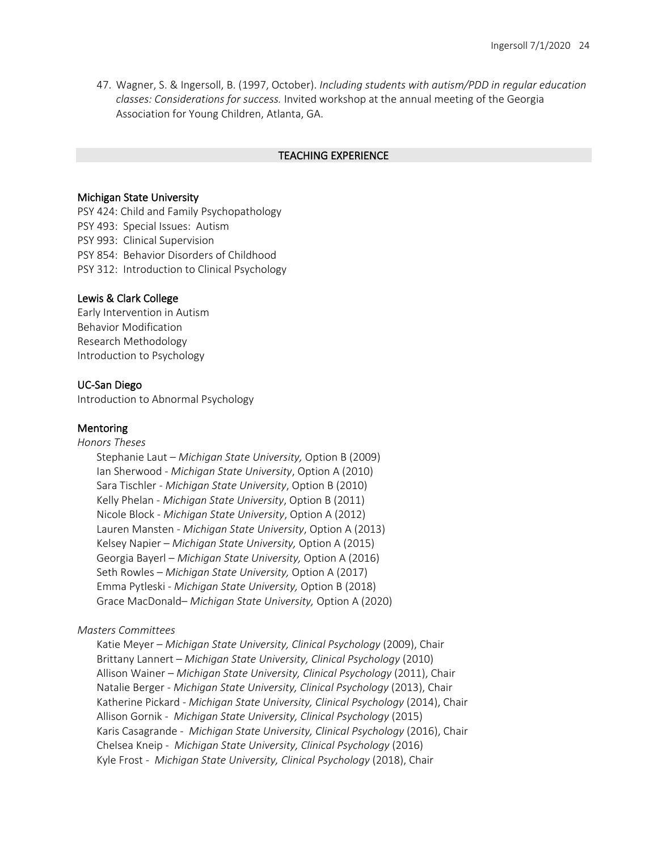47. Wagner, S. & Ingersoll, B. (1997, October). *Including students with autism/PDD in regular education classes: Considerations for success.* Invited workshop at the annual meeting of the Georgia Association for Young Children, Atlanta, GA.

# TEACHING EXPERIENCE

#### Michigan State University

PSY 424: Child and Family Psychopathology PSY 493: Special Issues: Autism PSY 993: Clinical Supervision PSY 854: Behavior Disorders of Childhood PSY 312: Introduction to Clinical Psychology

#### Lewis & Clark College

Early Intervention in Autism Behavior Modification Research Methodology Introduction to Psychology

#### UC-San Diego

Introduction to Abnormal Psychology

#### Mentoring

*Honors Theses*

Stephanie Laut – *Michigan State University,* Option B (2009) Ian Sherwood - *Michigan State University*, Option A (2010) Sara Tischler - *Michigan State University*, Option B (2010) Kelly Phelan - *Michigan State University*, Option B (2011) Nicole Block - *Michigan State University*, Option A (2012) Lauren Mansten - *Michigan State University*, Option A (2013) Kelsey Napier – *Michigan State University,* Option A (2015) Georgia Bayerl – *Michigan State University,* Option A (2016) Seth Rowles – *Michigan State University,* Option A (2017) Emma Pytleski - *Michigan State University,* Option B (2018) Grace MacDonald– *Michigan State University,* Option A (2020)

#### *Masters Committees*

Katie Meyer – *Michigan State University, Clinical Psychology* (2009), Chair Brittany Lannert – *Michigan State University, Clinical Psychology* (2010) Allison Wainer – *Michigan State University, Clinical Psychology* (2011), Chair Natalie Berger - *Michigan State University, Clinical Psychology* (2013), Chair Katherine Pickard - *Michigan State University, Clinical Psychology* (2014), Chair Allison Gornik - *Michigan State University, Clinical Psychology* (2015) Karis Casagrande - *Michigan State University, Clinical Psychology* (2016), Chair Chelsea Kneip - *Michigan State University, Clinical Psychology* (2016) Kyle Frost - *Michigan State University, Clinical Psychology* (2018), Chair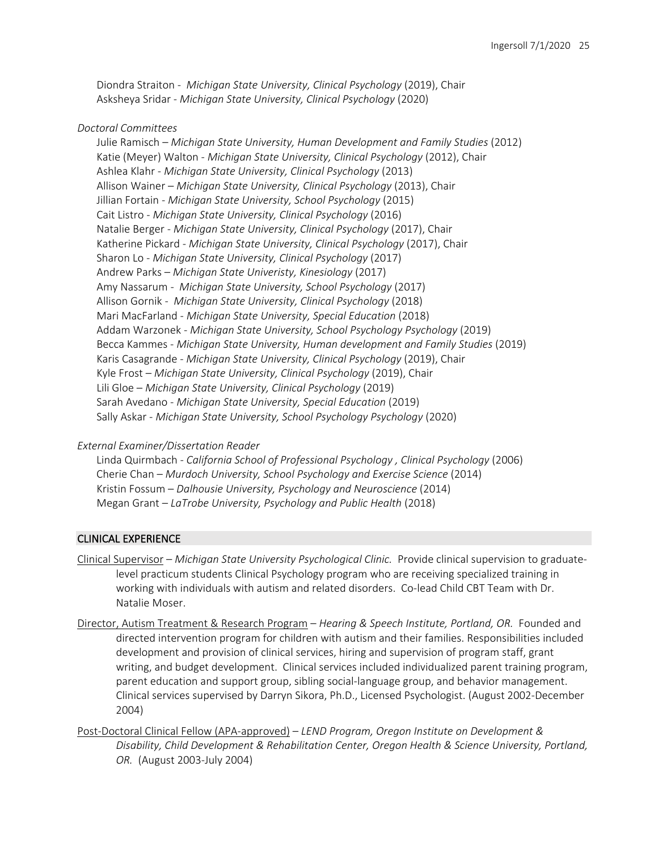Diondra Straiton - *Michigan State University, Clinical Psychology* (2019), Chair Asksheya Sridar - *Michigan State University, Clinical Psychology* (2020)

#### *Doctoral Committees*

Julie Ramisch – *Michigan State University, Human Development and Family Studies* (2012) Katie (Meyer) Walton - *Michigan State University, Clinical Psychology* (2012), Chair Ashlea Klahr - *Michigan State University, Clinical Psychology* (2013) Allison Wainer – *Michigan State University, Clinical Psychology* (2013), Chair Jillian Fortain - *Michigan State University, School Psychology* (2015) Cait Listro - *Michigan State University, Clinical Psychology* (2016) Natalie Berger - *Michigan State University, Clinical Psychology* (2017), Chair Katherine Pickard - *Michigan State University, Clinical Psychology* (2017), Chair Sharon Lo - *Michigan State University, Clinical Psychology* (2017) Andrew Parks – *Michigan State Univeristy, Kinesiology* (2017) Amy Nassarum - *Michigan State University, School Psychology* (2017) Allison Gornik - *Michigan State University, Clinical Psychology* (2018) Mari MacFarland - *Michigan State University, Special Education* (2018) Addam Warzonek - *Michigan State University, School Psychology Psychology* (2019) Becca Kammes - *Michigan State University, Human development and Family Studies* (2019) Karis Casagrande - *Michigan State University, Clinical Psychology* (2019), Chair Kyle Frost – *Michigan State University, Clinical Psychology* (2019), Chair Lili Gloe – *Michigan State University, Clinical Psychology* (2019) Sarah Avedano - *Michigan State University, Special Education* (2019) Sally Askar - *Michigan State University, School Psychology Psychology* (2020)

#### *External Examiner/Dissertation Reader*

Linda Quirmbach *- California School of Professional Psychology , Clinical Psychology* (2006) Cherie Chan – *Murdoch University, School Psychology and Exercise Science* (2014) Kristin Fossum – *Dalhousie University, Psychology and Neuroscience* (2014) Megan Grant – *LaTrobe University, Psychology and Public Health* (2018)

# CLINICAL EXPERIENCE

- Clinical Supervisor *Michigan State University Psychological Clinic.* Provide clinical supervision to graduatelevel practicum students Clinical Psychology program who are receiving specialized training in working with individuals with autism and related disorders. Co-lead Child CBT Team with Dr. Natalie Moser.
- Director, Autism Treatment & Research Program *Hearing & Speech Institute, Portland, OR.* Founded and directed intervention program for children with autism and their families. Responsibilities included development and provision of clinical services, hiring and supervision of program staff, grant writing, and budget development. Clinical services included individualized parent training program, parent education and support group, sibling social-language group, and behavior management. Clinical services supervised by Darryn Sikora, Ph.D., Licensed Psychologist. (August 2002-December 2004)
- Post-Doctoral Clinical Fellow (APA-approved) *LEND Program, Oregon Institute on Development & Disability, Child Development & Rehabilitation Center, Oregon Health & Science University, Portland, OR.* (August 2003-July 2004)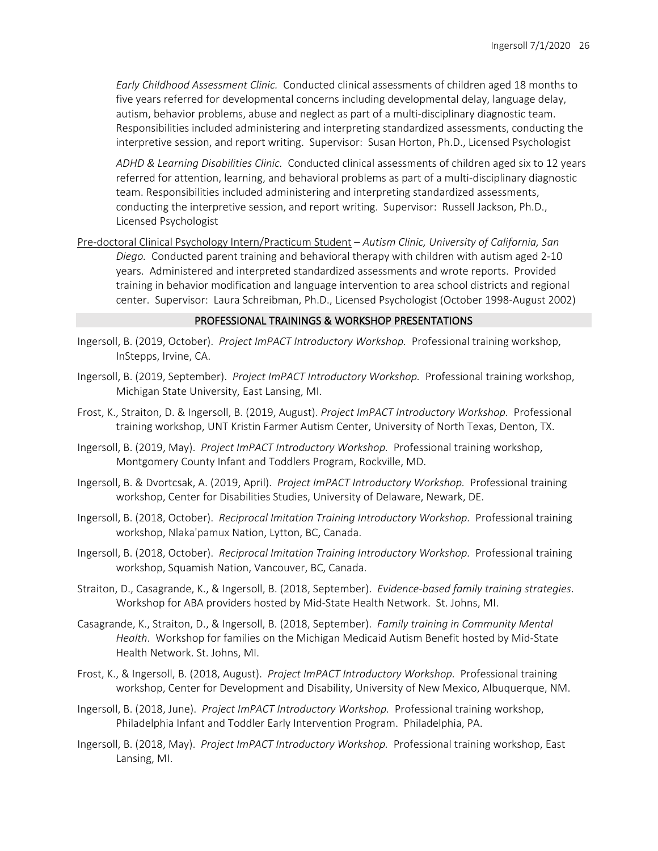*Early Childhood Assessment Clinic.* Conducted clinical assessments of children aged 18 months to five years referred for developmental concerns including developmental delay, language delay, autism, behavior problems, abuse and neglect as part of a multi-disciplinary diagnostic team. Responsibilities included administering and interpreting standardized assessments, conducting the interpretive session, and report writing. Supervisor: Susan Horton, Ph.D., Licensed Psychologist

*ADHD & Learning Disabilities Clinic.* Conducted clinical assessments of children aged six to 12 years referred for attention, learning, and behavioral problems as part of a multi-disciplinary diagnostic team. Responsibilities included administering and interpreting standardized assessments, conducting the interpretive session, and report writing. Supervisor: Russell Jackson, Ph.D., Licensed Psychologist

Pre-doctoral Clinical Psychology Intern/Practicum Student – *Autism Clinic, University of California, San Diego.* Conducted parent training and behavioral therapy with children with autism aged 2-10 years. Administered and interpreted standardized assessments and wrote reports. Provided training in behavior modification and language intervention to area school districts and regional center. Supervisor: Laura Schreibman, Ph.D., Licensed Psychologist (October 1998-August 2002)

#### PROFESSIONAL TRAININGS & WORKSHOP PRESENTATIONS

- Ingersoll, B. (2019, October). *Project ImPACT Introductory Workshop.* Professional training workshop, InStepps, Irvine, CA.
- Ingersoll, B. (2019, September). *Project ImPACT Introductory Workshop.* Professional training workshop, Michigan State University, East Lansing, MI.
- Frost, K., Straiton, D. & Ingersoll, B. (2019, August). *Project ImPACT Introductory Workshop.* Professional training workshop, UNT Kristin Farmer Autism Center, University of North Texas, Denton, TX.
- Ingersoll, B. (2019, May). *Project ImPACT Introductory Workshop.* Professional training workshop, Montgomery County Infant and Toddlers Program, Rockville, MD.
- Ingersoll, B. & Dvortcsak, A. (2019, April). *Project ImPACT Introductory Workshop.* Professional training workshop, Center for Disabilities Studies, University of Delaware, Newark, DE.
- Ingersoll, B. (2018, October). *Reciprocal Imitation Training Introductory Workshop.* Professional training workshop, Nlaka'pamux Nation, Lytton, BC, Canada.
- Ingersoll, B. (2018, October). *Reciprocal Imitation Training Introductory Workshop.* Professional training workshop, Squamish Nation, Vancouver, BC, Canada.
- Straiton, D., Casagrande, K., & Ingersoll, B. (2018, September). *Evidence-based family training strategies*. Workshop for ABA providers hosted by Mid-State Health Network. St. Johns, MI.
- Casagrande, K., Straiton, D., & Ingersoll, B. (2018, September). *Family training in Community Mental Health*. Workshop for families on the Michigan Medicaid Autism Benefit hosted by Mid-State Health Network. St. Johns, MI.
- Frost, K., & Ingersoll, B. (2018, August). *Project ImPACT Introductory Workshop.* Professional training workshop, Center for Development and Disability, University of New Mexico, Albuquerque, NM.
- Ingersoll, B. (2018, June). *Project ImPACT Introductory Workshop.* Professional training workshop, Philadelphia Infant and Toddler Early Intervention Program. Philadelphia, PA.
- Ingersoll, B. (2018, May). *Project ImPACT Introductory Workshop.* Professional training workshop, East Lansing, MI.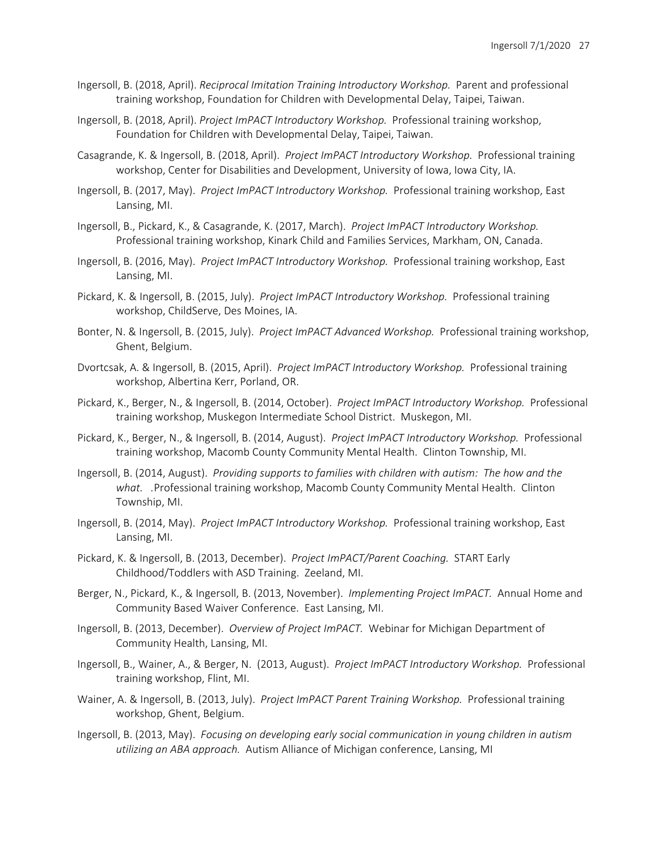- Ingersoll, B. (2018, April). *Reciprocal Imitation Training Introductory Workshop.* Parent and professional training workshop, Foundation for Children with Developmental Delay, Taipei, Taiwan.
- Ingersoll, B. (2018, April). *Project ImPACT Introductory Workshop.* Professional training workshop, Foundation for Children with Developmental Delay, Taipei, Taiwan.
- Casagrande, K. & Ingersoll, B. (2018, April). *Project ImPACT Introductory Workshop.* Professional training workshop, Center for Disabilities and Development, University of Iowa, Iowa City, IA.
- Ingersoll, B. (2017, May). *Project ImPACT Introductory Workshop.* Professional training workshop, East Lansing, MI.
- Ingersoll, B., Pickard, K., & Casagrande, K. (2017, March). *Project ImPACT Introductory Workshop.*  Professional training workshop, Kinark Child and Families Services, Markham, ON, Canada.
- Ingersoll, B. (2016, May). *Project ImPACT Introductory Workshop.* Professional training workshop, East Lansing, MI.
- Pickard, K. & Ingersoll, B. (2015, July). *Project ImPACT Introductory Workshop.* Professional training workshop, ChildServe, Des Moines, IA.
- Bonter, N. & Ingersoll, B. (2015, July). *Project ImPACT Advanced Workshop.* Professional training workshop, Ghent, Belgium.
- Dvortcsak, A. & Ingersoll, B. (2015, April). *Project ImPACT Introductory Workshop.* Professional training workshop, Albertina Kerr, Porland, OR.
- Pickard, K., Berger, N., & Ingersoll, B. (2014, October). *Project ImPACT Introductory Workshop.* Professional training workshop, Muskegon Intermediate School District. Muskegon, MI.
- Pickard, K., Berger, N., & Ingersoll, B. (2014, August). *Project ImPACT Introductory Workshop.* Professional training workshop, Macomb County Community Mental Health. Clinton Township, MI.
- Ingersoll, B. (2014, August). *Providing supports to families with children with autism: The how and the what. .*Professional training workshop, Macomb County Community Mental Health. Clinton Township, MI.
- Ingersoll, B. (2014, May). *Project ImPACT Introductory Workshop.* Professional training workshop, East Lansing, MI.
- Pickard, K. & Ingersoll, B. (2013, December). *Project ImPACT/Parent Coaching.* START Early Childhood/Toddlers with ASD Training. Zeeland, MI.
- Berger, N., Pickard, K., & Ingersoll, B. (2013, November). *Implementing Project ImPACT.* Annual Home and Community Based Waiver Conference. East Lansing, MI.
- Ingersoll, B. (2013, December). *Overview of Project ImPACT.* Webinar for Michigan Department of Community Health, Lansing, MI.
- Ingersoll, B., Wainer, A., & Berger, N. (2013, August). *Project ImPACT Introductory Workshop.* Professional training workshop, Flint, MI.
- Wainer, A. & Ingersoll, B. (2013, July). *Project ImPACT Parent Training Workshop.* Professional training workshop, Ghent, Belgium.
- Ingersoll, B. (2013, May). *Focusing on developing early social communication in young children in autism utilizing an ABA approach.* Autism Alliance of Michigan conference, Lansing, MI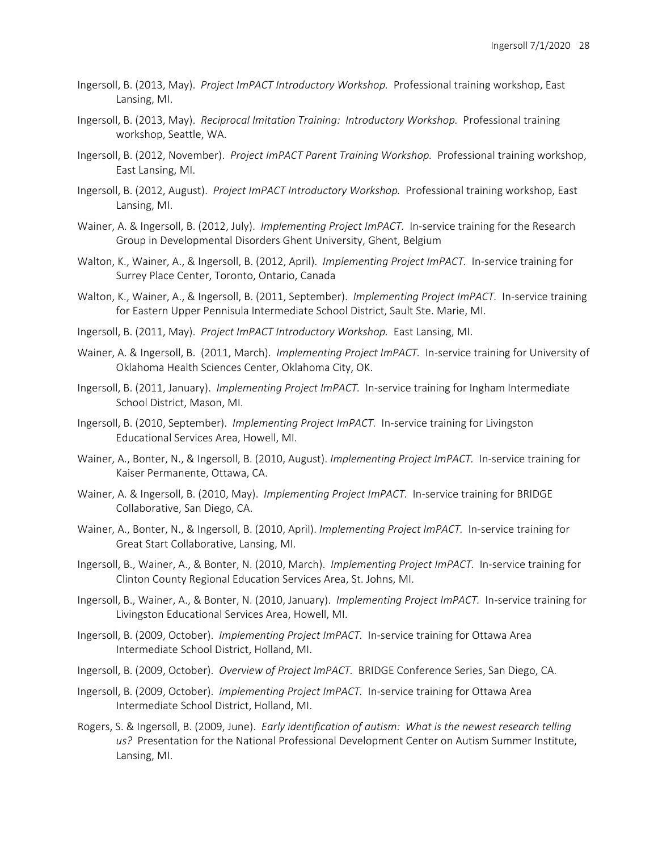- Ingersoll, B. (2013, May). *Project ImPACT Introductory Workshop.* Professional training workshop, East Lansing, MI.
- Ingersoll, B. (2013, May). *Reciprocal Imitation Training: Introductory Workshop.* Professional training workshop, Seattle, WA.
- Ingersoll, B. (2012, November). *Project ImPACT Parent Training Workshop.* Professional training workshop, East Lansing, MI.
- Ingersoll, B. (2012, August). *Project ImPACT Introductory Workshop.* Professional training workshop, East Lansing, MI.
- Wainer, A. & Ingersoll, B. (2012, July). *Implementing Project ImPACT.* In-service training for the Research Group in Developmental Disorders Ghent University, Ghent, Belgium
- Walton, K., Wainer, A., & Ingersoll, B. (2012, April). *Implementing Project ImPACT.* In-service training for Surrey Place Center, Toronto, Ontario, Canada
- Walton, K., Wainer, A., & Ingersoll, B. (2011, September). *Implementing Project ImPACT.* In-service training for Eastern Upper Pennisula Intermediate School District, Sault Ste. Marie, MI.
- Ingersoll, B. (2011, May). *Project ImPACT Introductory Workshop.* East Lansing, MI.
- Wainer, A. & Ingersoll, B. (2011, March). *Implementing Project ImPACT.* In-service training for University of Oklahoma Health Sciences Center, Oklahoma City, OK.
- Ingersoll, B. (2011, January). *Implementing Project ImPACT.* In-service training for Ingham Intermediate School District, Mason, MI.
- Ingersoll, B. (2010, September). *Implementing Project ImPACT.* In-service training for Livingston Educational Services Area, Howell, MI.
- Wainer, A., Bonter, N., & Ingersoll, B. (2010, August). *Implementing Project ImPACT.* In-service training for Kaiser Permanente, Ottawa, CA.
- Wainer, A. & Ingersoll, B. (2010, May). *Implementing Project ImPACT.* In-service training for BRIDGE Collaborative, San Diego, CA.
- Wainer, A., Bonter, N., & Ingersoll, B. (2010, April). *Implementing Project ImPACT.* In-service training for Great Start Collaborative, Lansing, MI.
- Ingersoll, B., Wainer, A., & Bonter, N. (2010, March). *Implementing Project ImPACT.* In-service training for Clinton County Regional Education Services Area, St. Johns, MI.
- Ingersoll, B., Wainer, A., & Bonter, N. (2010, January). *Implementing Project ImPACT.* In-service training for Livingston Educational Services Area, Howell, MI.
- Ingersoll, B. (2009, October). *Implementing Project ImPACT.* In-service training for Ottawa Area Intermediate School District, Holland, MI.
- Ingersoll, B. (2009, October). *Overview of Project ImPACT.* BRIDGE Conference Series, San Diego, CA.
- Ingersoll, B. (2009, October). *Implementing Project ImPACT.* In-service training for Ottawa Area Intermediate School District, Holland, MI.
- Rogers, S. & Ingersoll, B. (2009, June). *Early identification of autism: What is the newest research telling us?* Presentation for the National Professional Development Center on Autism Summer Institute, Lansing, MI.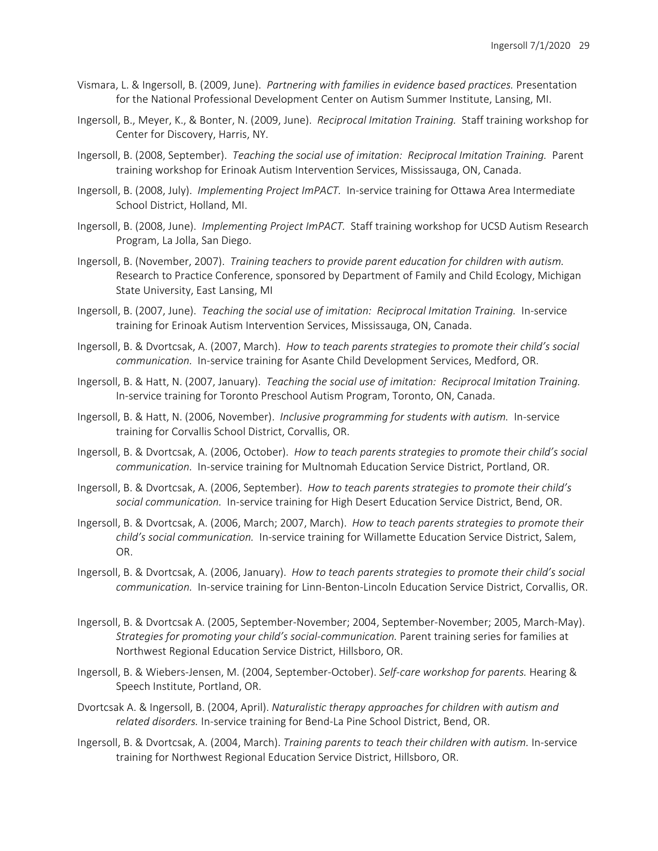- Vismara, L. & Ingersoll, B. (2009, June). *Partnering with families in evidence based practices.* Presentation for the National Professional Development Center on Autism Summer Institute, Lansing, MI.
- Ingersoll, B., Meyer, K., & Bonter, N. (2009, June). *Reciprocal Imitation Training.* Staff training workshop for Center for Discovery, Harris, NY.
- Ingersoll, B. (2008, September). *Teaching the social use of imitation: Reciprocal Imitation Training.* Parent training workshop for Erinoak Autism Intervention Services, Mississauga, ON, Canada.
- Ingersoll, B. (2008, July). *Implementing Project ImPACT.* In-service training for Ottawa Area Intermediate School District, Holland, MI.
- Ingersoll, B. (2008, June). *Implementing Project ImPACT.* Staff training workshop for UCSD Autism Research Program, La Jolla, San Diego.
- Ingersoll, B. (November, 2007). *Training teachers to provide parent education for children with autism.*  Research to Practice Conference, sponsored by Department of Family and Child Ecology, Michigan State University, East Lansing, MI
- Ingersoll, B. (2007, June). *Teaching the social use of imitation: Reciprocal Imitation Training.* In-service training for Erinoak Autism Intervention Services, Mississauga, ON, Canada.
- Ingersoll, B. & Dvortcsak, A. (2007, March). *How to teach parents strategies to promote their child's social communication.* In-service training for Asante Child Development Services, Medford, OR.
- Ingersoll, B. & Hatt, N. (2007, January). *Teaching the social use of imitation: Reciprocal Imitation Training.*  In-service training for Toronto Preschool Autism Program, Toronto, ON, Canada.
- Ingersoll, B. & Hatt, N. (2006, November). *Inclusive programming for students with autism.* In-service training for Corvallis School District, Corvallis, OR.
- Ingersoll, B. & Dvortcsak, A. (2006, October). *How to teach parents strategies to promote their child's social communication.* In-service training for Multnomah Education Service District, Portland, OR.
- Ingersoll, B. & Dvortcsak, A. (2006, September). *How to teach parents strategies to promote their child's social communication.* In-service training for High Desert Education Service District, Bend, OR.
- Ingersoll, B. & Dvortcsak, A. (2006, March; 2007, March). *How to teach parents strategies to promote their child's social communication.* In-service training for Willamette Education Service District, Salem, OR.
- Ingersoll, B. & Dvortcsak, A. (2006, January). *How to teach parents strategies to promote their child's social communication.* In-service training for Linn-Benton-Lincoln Education Service District, Corvallis, OR.
- Ingersoll, B. & Dvortcsak A. (2005, September-November; 2004, September-November; 2005, March-May). *Strategies for promoting your child's social-communication.* Parent training series for families at Northwest Regional Education Service District, Hillsboro, OR.
- Ingersoll, B. & Wiebers-Jensen, M. (2004, September-October). *Self-care workshop for parents.* Hearing & Speech Institute, Portland, OR.
- Dvortcsak A. & Ingersoll, B. (2004, April). *Naturalistic therapy approaches for children with autism and related disorders.* In-service training for Bend-La Pine School District, Bend, OR.
- Ingersoll, B. & Dvortcsak, A. (2004, March). *Training parents to teach their children with autism.* In-service training for Northwest Regional Education Service District, Hillsboro, OR.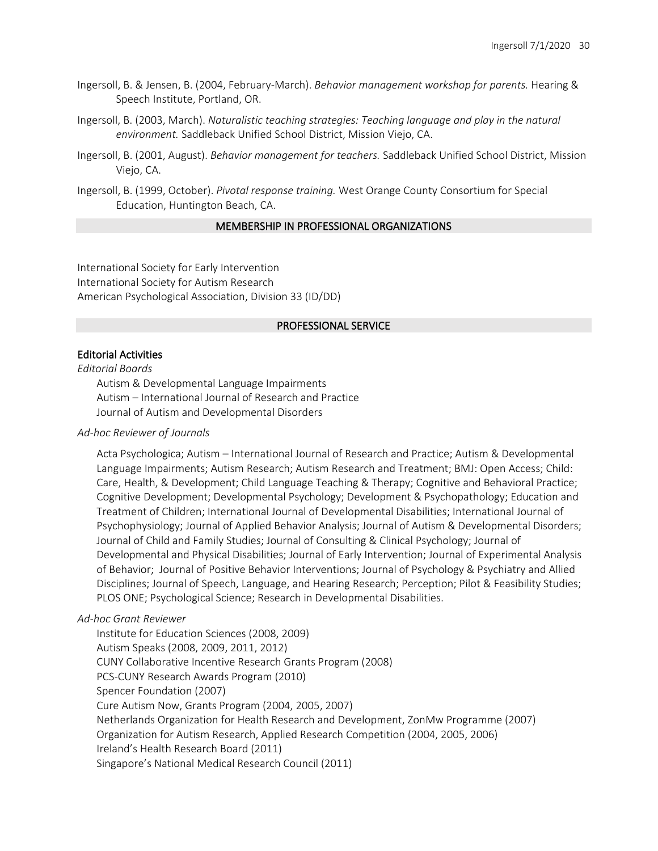- Ingersoll, B. & Jensen, B. (2004, February-March). *Behavior management workshop for parents.* Hearing & Speech Institute, Portland, OR.
- Ingersoll, B. (2003, March). *Naturalistic teaching strategies: Teaching language and play in the natural environment.* Saddleback Unified School District, Mission Viejo, CA.
- Ingersoll, B. (2001, August). *Behavior management for teachers.* Saddleback Unified School District, Mission Viejo, CA.
- Ingersoll, B. (1999, October). *Pivotal response training.* West Orange County Consortium for Special Education, Huntington Beach, CA.

### MEMBERSHIP IN PROFESSIONAL ORGANIZATIONS

International Society for Early Intervention International Society for Autism Research American Psychological Association, Division 33 (ID/DD)

# PROFESSIONAL SERVICE

#### Editorial Activities

*Editorial Boards*

Autism & Developmental Language Impairments Autism – International Journal of Research and Practice Journal of Autism and Developmental Disorders

#### *Ad-hoc Reviewer of Journals*

Acta Psychologica; Autism – International Journal of Research and Practice; Autism & Developmental Language Impairments; Autism Research; Autism Research and Treatment; BMJ: Open Access; Child: Care, Health, & Development; Child Language Teaching & Therapy; Cognitive and Behavioral Practice; Cognitive Development; Developmental Psychology; Development & Psychopathology; Education and Treatment of Children; International Journal of Developmental Disabilities; International Journal of Psychophysiology; Journal of Applied Behavior Analysis; Journal of Autism & Developmental Disorders; Journal of Child and Family Studies; Journal of Consulting & Clinical Psychology; Journal of Developmental and Physical Disabilities; Journal of Early Intervention; Journal of Experimental Analysis of Behavior; Journal of Positive Behavior Interventions; Journal of Psychology & Psychiatry and Allied Disciplines; Journal of Speech, Language, and Hearing Research; Perception; Pilot & Feasibility Studies; PLOS ONE; Psychological Science; Research in Developmental Disabilities.

# *Ad-hoc Grant Reviewer*

Institute for Education Sciences (2008, 2009) Autism Speaks (2008, 2009, 2011, 2012) CUNY Collaborative Incentive Research Grants Program (2008) PCS-CUNY Research Awards Program (2010) Spencer Foundation (2007) Cure Autism Now, Grants Program (2004, 2005, 2007) Netherlands Organization for Health Research and Development, ZonMw Programme (2007) Organization for Autism Research, Applied Research Competition (2004, 2005, 2006) Ireland's Health Research Board (2011) Singapore's National Medical Research Council (2011)